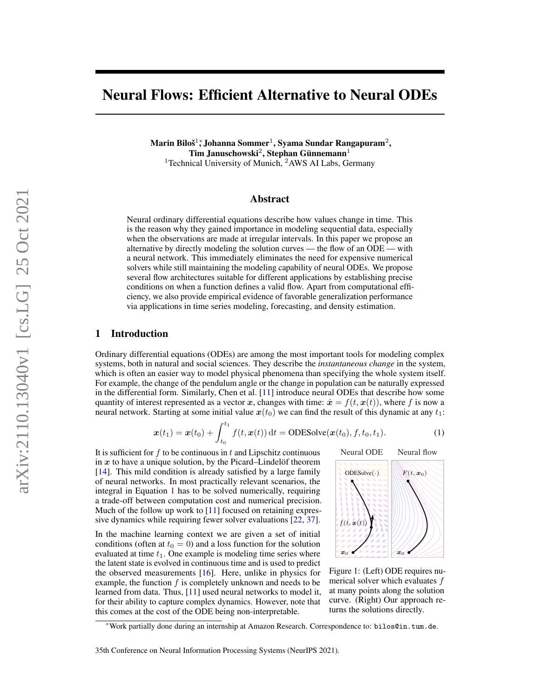# Neural Flows: Efficient Alternative to Neural ODEs

Marin Biloš $^1\!$ , Johanna Sommer $^1$ , Syama Sundar Rangapuram $^2,$ Tim Januschowski $^2$ , Stephan Günnemann $^1$ <sup>1</sup>Technical University of Munich,  $2$ AWS AI Labs, Germany

# Abstract

Neural ordinary differential equations describe how values change in time. This is the reason why they gained importance in modeling sequential data, especially when the observations are made at irregular intervals. In this paper we propose an alternative by directly modeling the solution curves — the flow of an ODE — with a neural network. This immediately eliminates the need for expensive numerical solvers while still maintaining the modeling capability of neural ODEs. We propose several flow architectures suitable for different applications by establishing precise conditions on when a function defines a valid flow. Apart from computational efficiency, we also provide empirical evidence of favorable generalization performance via applications in time series modeling, forecasting, and density estimation.

### 1 Introduction

Ordinary differential equations (ODEs) are among the most important tools for modeling complex systems, both in natural and social sciences. They describe the *instantaneous change* in the system, which is often an easier way to model physical phenomena than specifying the whole system itself. For example, the change of the pendulum angle or the change in population can be naturally expressed in the differential form. Similarly, Chen et al. [\[11\]](#page-9-0) introduce neural ODEs that describe how some quantity of interest represented as a vector x, changes with time:  $\dot{x} = f(t, x(t))$ , where f is now a neural network. Starting at some initial value  $x(t_0)$  we can find the result of this dynamic at any  $t_1$ :

$$
\boldsymbol{x}(t_1) = \boldsymbol{x}(t_0) + \int_{t_0}^{t_1} f(t, \boldsymbol{x}(t)) dt = \text{ODESolve}(\boldsymbol{x}(t_0), f, t_0, t_1).
$$
 (1)

It is sufficient for  $f$  to be continuous in  $t$  and Lipschitz continuous in  $x$  to have a unique solution, by the Picard–Lindelöf theorem [\[14\]](#page-9-1). This mild condition is already satisfied by a large family of neural networks. In most practically relevant scenarios, the integral in Equation [1](#page-0-0) has to be solved numerically, requiring a trade-off between computation cost and numerical precision. Much of the follow up work to [\[11\]](#page-9-0) focused on retaining expressive dynamics while requiring fewer solver evaluations [\[22,](#page-10-0) [37\]](#page-10-1).

In the machine learning context we are given a set of initial conditions (often at  $t_0 = 0$ ) and a loss function for the solution evaluated at time  $t_1$ . One example is modeling time series where the latent state is evolved in continuous time and is used to predict the observed measurements [\[16\]](#page-9-2). Here, unlike in physics for example, the function  $f$  is completely unknown and needs to be learned from data. Thus, [\[11\]](#page-9-0) used neural networks to model it, for their ability to capture complex dynamics. However, note that this comes at the cost of the ODE being non-interpretable.

<span id="page-0-1"></span><span id="page-0-0"></span>

Figure 1: (Left) ODE requires numerical solver which evaluates f at many points along the solution curve. (Right) Our approach returns the solutions directly.

<sup>∗</sup>Work partially done during an internship at Amazon Research. Correspondence to: bilos@in.tum.de.

<sup>35</sup>th Conference on Neural Information Processing Systems (NeurIPS 2021).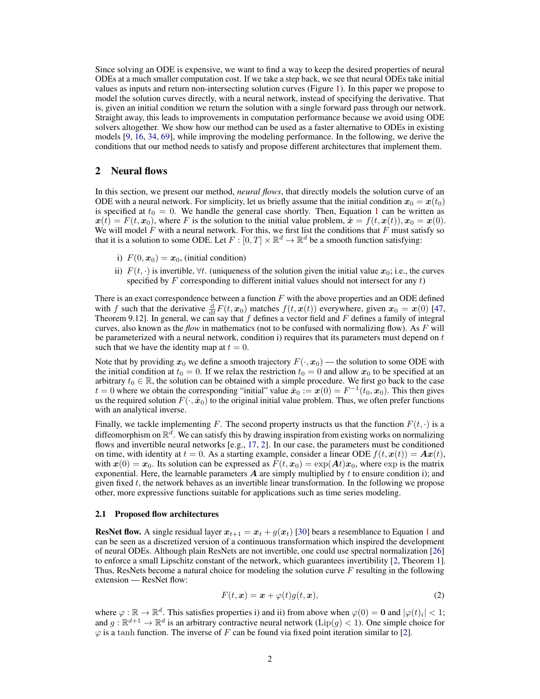Since solving an ODE is expensive, we want to find a way to keep the desired properties of neural ODEs at a much smaller computation cost. If we take a step back, we see that neural ODEs take initial values as inputs and return non-intersecting solution curves (Figure [1\)](#page-0-1). In this paper we propose to model the solution curves directly, with a neural network, instead of specifying the derivative. That is, given an initial condition we return the solution with a single forward pass through our network. Straight away, this leads to improvements in computation performance because we avoid using ODE solvers altogether. We show how our method can be used as a faster alternative to ODEs in existing models [\[9,](#page-9-3) [16,](#page-9-2) [34,](#page-10-2) [69\]](#page-12-0), while improving the modeling performance. In the following, we derive the conditions that our method needs to satisfy and propose different architectures that implement them.

# <span id="page-1-1"></span>2 Neural flows

In this section, we present our method, *neural flows*, that directly models the solution curve of an ODE with a neural network. For simplicity, let us briefly assume that the initial condition  $x_0 = x(t_0)$ is specified at  $t_0 = 0$ . We handle the general case shortly. Then, Equation [1](#page-0-0) can be written as  $x(t) = F(t, x_0)$ , where F is the solution to the initial value problem,  $\dot{x} = f(t, x(t)), x_0 = x(0)$ . We will model  $F$  with a neural network. For this, we first list the conditions that  $F$  must satisfy so that it is a solution to some ODE. Let  $F : [0, T] \times \mathbb{R}^d \to \mathbb{R}^d$  be a smooth function satisfying:

- i)  $F(0, x_0) = x_0$ , (initial condition)
- ii)  $F(t, \cdot)$  is invertible,  $\forall t$ . (uniqueness of the solution given the initial value  $x_0$ ; i.e., the curves specified by  $F$  corresponding to different initial values should not intersect for any  $t$ )

There is an exact correspondence between a function  $F$  with the above properties and an ODE defined with f such that the derivative  $\frac{d}{dt}F(t, x_0)$  matches  $f(t, x(t))$  everywhere, given  $x_0 = x(0)$  [\[47,](#page-11-0) Theorem 9.12]. In general, we can say that  $f$  defines a vector field and  $F$  defines a family of integral curves, also known as the *flow* in mathematics (not to be confused with normalizing flow). As F will be parameterized with a neural network, condition i) requires that its parameters must depend on  $t$ such that we have the identity map at  $t = 0$ .

Note that by providing  $x_0$  we define a smooth trajectory  $F(\cdot, x_0)$  — the solution to some ODE with the initial condition at  $t_0 = 0$ . If we relax the restriction  $t_0 = 0$  and allow  $x_0$  to be specified at an arbitrary  $t_0 \in \mathbb{R}$ , the solution can be obtained with a simple procedure. We first go back to the case  $t = 0$  where we obtain the corresponding "initial" value  $\hat{x}_0 := x(0) = F^{-1}(t_0, x_0)$ . This then gives us the required solution  $F(\cdot, \hat{x}_0)$  to the original initial value problem. Thus, we often prefer functions with an analytical inverse.

Finally, we tackle implementing F. The second property instructs us that the function  $F(t, \cdot)$  is a diffeomorphism on  $\mathbb{R}^d$ . We can satisfy this by drawing inspiration from existing works on normalizing flows and invertible neural networks [e.g., [17,](#page-9-4) [2\]](#page-9-5). In our case, the parameters must be conditioned on time, with identity at  $t = 0$ . As a starting example, consider a linear ODE  $f(t, x(t)) = Ax(t)$ , with  $x(0) = x_0$ . Its solution can be expressed as  $F(t, x_0) = \exp(At)x_0$ , where  $\exp$  is the matrix exponential. Here, the learnable parameters  $A$  are simply multiplied by  $t$  to ensure condition i); and given fixed  $t$ , the network behaves as an invertible linear transformation. In the following we propose other, more expressive functions suitable for applications such as time series modeling.

#### <span id="page-1-2"></span>2.1 Proposed flow architectures

**ResNet flow.** A single residual layer  $x_{t+1} = x_t + g(x_t)$  $x_{t+1} = x_t + g(x_t)$  $x_{t+1} = x_t + g(x_t)$  [\[30\]](#page-10-3) bears a resemblance to Equation 1 and can be seen as a discretized version of a continuous transformation which inspired the development of neural ODEs. Although plain ResNets are not invertible, one could use spectral normalization [\[26\]](#page-10-4) to enforce a small Lipschitz constant of the network, which guarantees invertibility [\[2,](#page-9-5) Theorem 1]. Thus, ResNets become a natural choice for modeling the solution curve F resulting in the following extension — ResNet flow:

<span id="page-1-0"></span>
$$
F(t, x) = x + \varphi(t)g(t, x), \qquad (2)
$$

where  $\varphi : \mathbb{R} \to \mathbb{R}^d$ . This satisfies properties i) and ii) from above when  $\varphi(0) = \mathbf{0}$  and  $|\varphi(t)_i| < 1$ ; and  $g : \mathbb{R}^{d+1} \to \mathbb{R}^d$  is an arbitrary contractive neural network ( $Lip(g) < 1$ ). One simple choice for  $\varphi$  is a tanh function. The inverse of F can be found via fixed point iteration similar to [\[2\]](#page-9-5).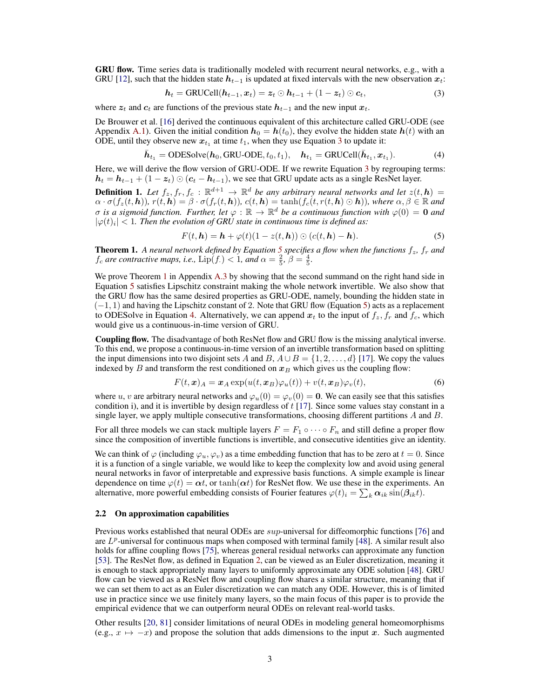GRU flow. Time series data is traditionally modeled with recurrent neural networks, e.g., with a GRU [\[12\]](#page-9-6), such that the hidden state  $h_{t-1}$  is updated at fixed intervals with the new observation  $x_t$ :

<span id="page-2-0"></span>
$$
\boldsymbol{h}_t = \text{GRUCell}(\boldsymbol{h}_{t-1}, \boldsymbol{x}_t) = \boldsymbol{z}_t \odot \boldsymbol{h}_{t-1} + (1 - \boldsymbol{z}_t) \odot \boldsymbol{c}_t, \tag{3}
$$

where  $z_t$  and  $c_t$  are functions of the previous state  $h_{t-1}$  and the new input  $x_t$ .

De Brouwer et al. [\[16\]](#page-9-2) derived the continuous equivalent of this architecture called GRU-ODE (see Appendix [A.1\)](#page-13-0). Given the initial condition  $h_0 = h(t_0)$ , they evolve the hidden state  $h(t)$  with an ODE, until they observe new  $x_{t_1}$  at time  $t_1$ , when they use Equation [3](#page-2-0) to update it:

$$
\bar{\boldsymbol{h}}_{t_1} = \text{ODESolve}(\boldsymbol{h}_0, \text{GRU-ODE}, t_0, t_1), \quad \boldsymbol{h}_{t_1} = \text{GRUCell}(\bar{\boldsymbol{h}}_{t_1}, \boldsymbol{x}_{t_1}). \tag{4}
$$

Here, we will derive the flow version of GRU-ODE. If we rewrite Equation [3](#page-2-0) by regrouping terms:  $h_t = h_{t-1} + (1 - z_t) \odot (c_t - h_{t-1})$ , we see that GRU update acts as a single ResNet layer.

<span id="page-2-5"></span>**Definition 1.** Let  $f_z, f_r, f_c : \mathbb{R}^{d+1} \to \mathbb{R}^d$  be any arbitrary neural networks and let  $z(t, h) =$  $\alpha \cdot \sigma(f_z(t, h))$ ,  $r(t, h) = \beta \cdot \sigma(f_r(t, h))$ ,  $c(t, h) = \tanh(f_c(t, r(t, h) \odot h))$ , where  $\alpha, \beta \in \mathbb{R}$  and σ *is a sigmoid function. Further, let* ϕ : R → R <sup>d</sup> *be a continuous function with* ϕ(0) = 0 *and*  $|\varphi(t)_i|$  < 1. Then the evolution of GRU state in continuous time is defined as:

<span id="page-2-3"></span><span id="page-2-1"></span>
$$
F(t, h) = h + \varphi(t)(1 - z(t, h)) \odot (c(t, h) - h).
$$
\n(5)

<span id="page-2-2"></span>**Theorem 1.** A neural network defined by Equation [5](#page-2-1) specifies a flow when the functions  $f_z$ ,  $f_r$  and  $f_c$  are contractive maps, i.e.,  $\text{Lip}(f) < 1$ , and  $\alpha = \frac{2}{5}$ ,  $\beta = \frac{4}{5}$ .

We prove Theorem [1](#page-2-2) in Appendix [A.3](#page-13-1) by showing that the second summand on the right hand side in Equation [5](#page-2-1) satisfies Lipschitz constraint making the whole network invertible. We also show that the GRU flow has the same desired properties as GRU-ODE, namely, bounding the hidden state in (−1, 1) and having the Lipschitz constant of 2. Note that GRU flow (Equation [5\)](#page-2-1) acts as a replacement to ODESolve in Equation [4.](#page-2-3) Alternatively, we can append  $x_t$  to the input of  $f_z$ ,  $f_r$  and  $f_c$ , which would give us a continuous-in-time version of GRU.

Coupling flow. The disadvantage of both ResNet flow and GRU flow is the missing analytical inverse. To this end, we propose a continuous-in-time version of an invertible transformation based on splitting the input dimensions into two disjoint sets A and B,  $A \cup B = \{1, 2, ..., d\}$  [\[17\]](#page-9-4). We copy the values indexed by B and transform the rest conditioned on  $x_B$  which gives us the coupling flow:

<span id="page-2-4"></span>
$$
F(t, x)_A = x_A \exp(u(t, x_B)\varphi_u(t)) + v(t, x_B)\varphi_v(t), \qquad (6)
$$

where u, v are arbitrary neural networks and  $\varphi_u(0) = \varphi_v(0) = 0$ . We can easily see that this satisfies condition i), and it is invertible by design regardless of  $t$  [\[17\]](#page-9-4). Since some values stay constant in a single layer, we apply multiple consecutive transformations, choosing different partitions  $A$  and  $B$ .

For all three models we can stack multiple layers  $F = F_1 \circ \cdots \circ F_n$  and still define a proper flow since the composition of invertible functions is invertible, and consecutive identities give an identity.

We can think of  $\varphi$  (including  $\varphi_u, \varphi_v$ ) as a time embedding function that has to be zero at  $t = 0$ . Since it is a function of a single variable, we would like to keep the complexity low and avoid using general neural networks in favor of interpretable and expressive basis functions. A simple example is linear dependence on time  $\varphi(t) = \alpha t$ , or tanh $(\alpha t)$  for ResNet flow. We use these in the experiments. An alternative, more powerful embedding consists of Fourier features  $\varphi(t)_i = \sum_k \alpha_{ik} \sin(\beta_{ik} t)$ .

#### 2.2 On approximation capabilities

Previous works established that neural ODEs are *sup*-universal for diffeomorphic functions [\[76\]](#page-12-1) and are  $L^p$ -universal for continuous maps when composed with terminal family [\[48\]](#page-11-1). A similar result also holds for affine coupling flows [\[75\]](#page-12-2), whereas general residual networks can approximate any function [\[53\]](#page-11-2). The ResNet flow, as defined in Equation [2,](#page-1-0) can be viewed as an Euler discretization, meaning it is enough to stack appropriately many layers to uniformly approximate any ODE solution [\[48\]](#page-11-1). GRU flow can be viewed as a ResNet flow and coupling flow shares a similar structure, meaning that if we can set them to act as an Euler discretization we can match any ODE. However, this is of limited use in practice since we use finitely many layers, so the main focus of this paper is to provide the empirical evidence that we can outperform neural ODEs on relevant real-world tasks.

Other results [\[20,](#page-9-7) [81\]](#page-12-3) consider limitations of neural ODEs in modeling general homeomorphisms (e.g.,  $x \mapsto -x$ ) and propose the solution that adds dimensions to the input x. Such augmented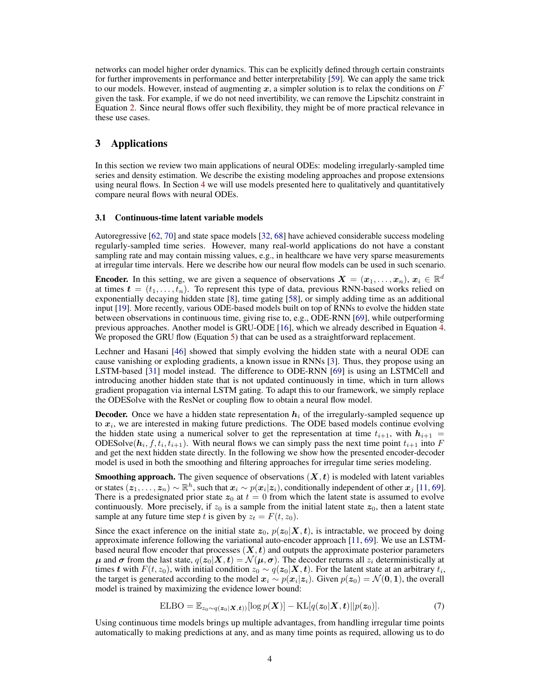networks can model higher order dynamics. This can be explicitly defined through certain constraints for further improvements in performance and better interpretability [\[59\]](#page-11-3). We can apply the same trick to our models. However, instead of augmenting x, a simpler solution is to relax the conditions on  $F$ given the task. For example, if we do not need invertibility, we can remove the Lipschitz constraint in Equation [2.](#page-1-0) Since neural flows offer such flexibility, they might be of more practical relevance in these use cases.

# <span id="page-3-2"></span>3 Applications

In this section we review two main applications of neural ODEs: modeling irregularly-sampled time series and density estimation. We describe the existing modeling approaches and propose extensions using neural flows. In Section [4](#page-5-0) we will use models presented here to qualitatively and quantitatively compare neural flows with neural ODEs.

### <span id="page-3-0"></span>3.1 Continuous-time latent variable models

Autoregressive [\[62,](#page-11-4) [70\]](#page-12-4) and state space models [\[32,](#page-10-5) [68\]](#page-12-5) have achieved considerable success modeling regularly-sampled time series. However, many real-world applications do not have a constant sampling rate and may contain missing values, e.g., in healthcare we have very sparse measurements at irregular time intervals. Here we describe how our neural flow models can be used in such scenario.

**Encoder.** In this setting, we are given a sequence of observations  $X = (x_1, \ldots, x_n)$ ,  $x_i \in \mathbb{R}^d$ at times  $t = (t_1, \ldots, t_n)$ . To represent this type of data, previous RNN-based works relied on exponentially decaying hidden state [\[8\]](#page-9-8), time gating [\[58\]](#page-11-5), or simply adding time as an additional input [\[19\]](#page-9-9). More recently, various ODE-based models built on top of RNNs to evolve the hidden state between observations in continuous time, giving rise to, e.g., ODE-RNN [\[69\]](#page-12-0), while outperforming previous approaches. Another model is GRU-ODE [\[16\]](#page-9-2), which we already described in Equation [4.](#page-2-3) We proposed the GRU flow (Equation [5\)](#page-2-1) that can be used as a straightforward replacement.

Lechner and Hasani [\[46\]](#page-11-6) showed that simply evolving the hidden state with a neural ODE can cause vanishing or exploding gradients, a known issue in RNNs [\[3\]](#page-9-10). Thus, they propose using an LSTM-based [\[31\]](#page-10-6) model instead. The difference to ODE-RNN [\[69\]](#page-12-0) is using an LSTMCell and introducing another hidden state that is not updated continuously in time, which in turn allows gradient propagation via internal LSTM gating. To adapt this to our framework, we simply replace the ODESolve with the ResNet or coupling flow to obtain a neural flow model.

**Decoder.** Once we have a hidden state representation  $h_i$  of the irregularly-sampled sequence up to  $x_i$ , we are interested in making future predictions. The ODE based models continue evolving the hidden state using a numerical solver to get the representation at time  $t_{i+1}$ , with  $h_{i+1}$ ODESolve $(h_i, f, t_i, t_{i+1})$ . With neural flows we can simply pass the next time point  $t_{i+1}$  into F and get the next hidden state directly. In the following we show how the presented encoder-decoder model is used in both the smoothing and filtering approaches for irregular time series modeling.

**Smoothing approach.** The given sequence of observations  $(X, t)$  is modeled with latent variables or states  $(z_1, \ldots, z_n) \sim \mathbb{R}^h$ , such that  $x_i \sim p(x_i | z_i)$ , conditionally independent of other  $x_j$  [\[11,](#page-9-0) [69\]](#page-12-0). There is a predesignated prior state  $z_0$  at  $t = 0$  from which the latent state is assumed to evolve continuously. More precisely, if  $z_0$  is a sample from the initial latent state  $z_0$ , then a latent state sample at any future time step t is given by  $z_t = F(t, z_0)$ .

Since the exact inference on the initial state  $z_0$ ,  $p(z_0|\mathbf{X}, t)$ , is intractable, we proceed by doing approximate inference following the variational auto-encoder approach [\[11,](#page-9-0) [69\]](#page-12-0). We use an LSTMbased neural flow encoder that processes  $(X, t)$  and outputs the approximate posterior parameters  $\mu$  and  $\sigma$  from the last state,  $q(z_0|X,t) = \mathcal{N}(\mu, \sigma)$ . The decoder returns all  $z_i$  deterministically at times t with  $F(t, z_0)$ , with initial condition  $z_0 \sim q(\bm{z}_0|\bm{X}, \bm{t})$ . For the latent state at an arbitrary  $t_i$ , the target is generated according to the model  $x_i \sim p(x_i|z_i)$ . Given  $p(z_0) = \mathcal{N}(0, 1)$ , the overall model is trained by maximizing the evidence lower bound:

<span id="page-3-1"></span>
$$
\text{ELBO} = \mathbb{E}_{z_0 \sim q(\boldsymbol{z}_0 | \boldsymbol{X}, \boldsymbol{t})} [\log p(\boldsymbol{X})] - \text{KL}[q(\boldsymbol{z}_0 | \boldsymbol{X}, \boldsymbol{t}) || p(\boldsymbol{z}_0)]. \tag{7}
$$

Using continuous time models brings up multiple advantages, from handling irregular time points automatically to making predictions at any, and as many time points as required, allowing us to do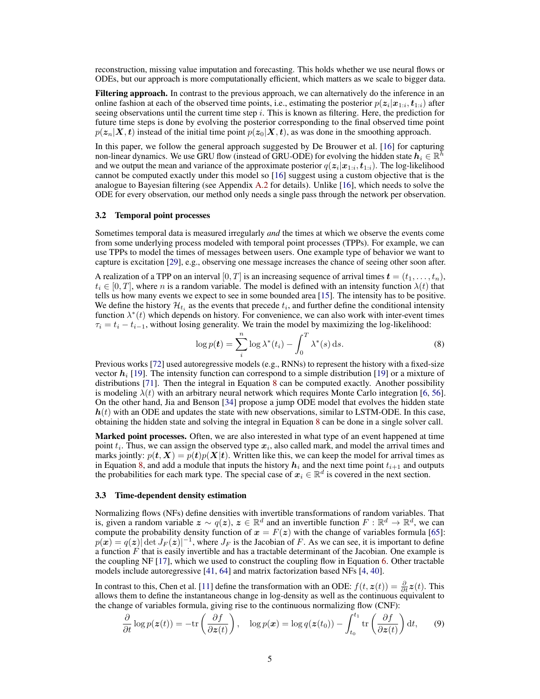reconstruction, missing value imputation and forecasting. This holds whether we use neural flows or ODEs, but our approach is more computationally efficient, which matters as we scale to bigger data.

**Filtering approach.** In contrast to the previous approach, we can alternatively do the inference in an online fashion at each of the observed time points, i.e., estimating the posterior  $p(\textbf{\textit{z}}_i|\textbf{\textit{x}}_{1:i},\textbf{\textit{t}}_{1:i})$  after seeing observations until the current time step  $i$ . This is known as filtering. Here, the prediction for future time steps is done by evolving the posterior corresponding to the final observed time point  $p(z_n|X, t)$  instead of the initial time point  $p(z_0|X, t)$ , as was done in the smoothing approach.

In this paper, we follow the general approach suggested by De Brouwer et al. [\[16\]](#page-9-2) for capturing non-linear dynamics. We use GRU flow (instead of GRU-ODE) for evolving the hidden state  $h_i \in \mathbb{R}^h$ and we output the mean and variance of the approximate posterior  $q(\boldsymbol{z}_i|\boldsymbol{x}_{1:i},\boldsymbol{t}_{1:i})$ . The log-likelihood cannot be computed exactly under this model so [\[16\]](#page-9-2) suggest using a custom objective that is the analogue to Bayesian filtering (see Appendix [A.2](#page-13-2) for details). Unlike [\[16\]](#page-9-2), which needs to solve the ODE for every observation, our method only needs a single pass through the network per observation.

#### <span id="page-4-2"></span>3.2 Temporal point processes

Sometimes temporal data is measured irregularly *and* the times at which we observe the events come from some underlying process modeled with temporal point processes (TPPs). For example, we can use TPPs to model the times of messages between users. One example type of behavior we want to capture is excitation [\[29\]](#page-10-7), e.g., observing one message increases the chance of seeing other soon after.

A realization of a TPP on an interval  $[0, T]$  is an increasing sequence of arrival times  $\mathbf{t} = (t_1, \dots, t_n)$ ,  $t_i \in [0, T]$ , where n is a random variable. The model is defined with an intensity function  $\lambda(t)$  that tells us how many events we expect to see in some bounded area [\[15\]](#page-9-11). The intensity has to be positive. We define the history  $\mathcal{H}_{t_i}$  as the events that precede  $t_i$ , and further define the conditional intensity function  $\lambda^*(t)$  which depends on history. For convenience, we can also work with inter-event times  $\tau_i = t_i - t_{i-1}$ , without losing generality. We train the model by maximizing the log-likelihood:

<span id="page-4-0"></span>
$$
\log p(\boldsymbol{t}) = \sum_{i}^{n} \log \lambda^*(t_i) - \int_0^T \lambda^*(s) \, \mathrm{d}s. \tag{8}
$$

Previous works [\[72\]](#page-12-6) used autoregressive models (e.g., RNNs) to represent the history with a fixed-size vector  $h_i$  [\[19\]](#page-9-9). The intensity function can correspond to a simple distribution [19] or a mixture of distributions [\[71\]](#page-12-7). Then the integral in Equation [8](#page-4-0) can be computed exactly. Another possibility is modeling  $\lambda(t)$  with an arbitrary neural network which requires Monte Carlo integration [\[6,](#page-9-12) [56\]](#page-11-7). On the other hand, Jia and Benson [\[34\]](#page-10-2) propose a jump ODE model that evolves the hidden state  $h(t)$  with an ODE and updates the state with new observations, similar to LSTM-ODE. In this case, obtaining the hidden state and solving the integral in Equation [8](#page-4-0) can be done in a single solver call.

Marked point processes. Often, we are also interested in what type of an event happened at time point  $t_i$ . Thus, we can assign the observed type  $x_i$ , also called mark, and model the arrival times and marks jointly:  $p(t, X) = p(t)p(X|t)$ . Written like this, we can keep the model for arrival times as in Equation [8,](#page-4-0) and add a module that inputs the history  $h_i$  and the next time point  $t_{i+1}$  and outputs the probabilities for each mark type. The special case of  $x_i \in \mathbb{R}^d$  is covered in the next section.

#### <span id="page-4-3"></span>3.3 Time-dependent density estimation

Normalizing flows (NFs) define densities with invertible transformations of random variables. That is, given a random variable  $z \sim q(z)$ ,  $z \in \mathbb{R}^d$  and an invertible function  $F : \mathbb{R}^d \to \mathbb{R}^d$ , we can compute the probability density function of  $x = F(z)$  with the change of variables formula [\[65\]](#page-12-8):  $p(x) = q(z)$  det  $J_F(z)|^{-1}$ , where  $J_F$  is the Jacobian of F. As we can see, it is important to define a function  $F$  that is easily invertible and has a tractable determinant of the Jacobian. One example is the coupling NF [\[17\]](#page-9-4), which we used to construct the coupling flow in Equation [6.](#page-2-4) Other tractable models include autoregressive [\[41,](#page-10-8) [64\]](#page-12-9) and matrix factorization based NFs [\[4,](#page-9-13) [40\]](#page-10-9).

In contrast to this, Chen et al. [\[11\]](#page-9-0) define the transformation with an ODE:  $f(t, z(t)) = \frac{\partial}{\partial t} z(t)$ . This allows them to define the instantaneous change in log-density as well as the continuous equivalent to the change of variables formula, giving rise to the continuous normalizing flow (CNF):

<span id="page-4-1"></span>
$$
\frac{\partial}{\partial t} \log p(\boldsymbol{z}(t)) = -\text{tr}\left(\frac{\partial f}{\partial \boldsymbol{z}(t)}\right), \quad \log p(\boldsymbol{x}) = \log q(\boldsymbol{z}(t_0)) - \int_{t_0}^{t_1} \text{tr}\left(\frac{\partial f}{\partial \boldsymbol{z}(t)}\right) \text{d}t,\tag{9}
$$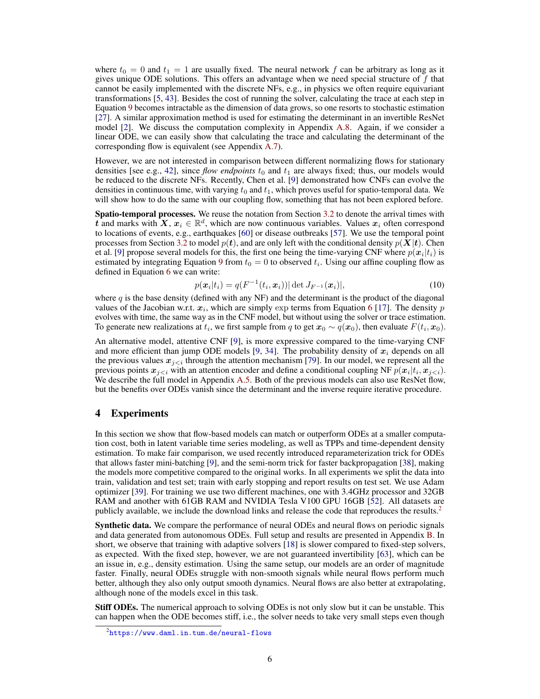where  $t_0 = 0$  and  $t_1 = 1$  are usually fixed. The neural network f can be arbitrary as long as it gives unique ODE solutions. This offers an advantage when we need special structure of  $f$  that cannot be easily implemented with the discrete NFs, e.g., in physics we often require equivariant transformations [\[5,](#page-9-14) [43\]](#page-11-8). Besides the cost of running the solver, calculating the trace at each step in Equation [9](#page-4-1) becomes intractable as the dimension of data grows, so one resorts to stochastic estimation [\[27\]](#page-10-10). A similar approximation method is used for estimating the determinant in an invertible ResNet model [\[2\]](#page-9-5). We discuss the computation complexity in Appendix [A.8.](#page-17-0) Again, if we consider a linear ODE, we can easily show that calculating the trace and calculating the determinant of the corresponding flow is equivalent (see Appendix [A.7\)](#page-16-0).

However, we are not interested in comparison between different normalizing flows for stationary densities [see e.g., [42\]](#page-11-9), since *flow endpoints*  $t_0$  and  $t_1$  are always fixed; thus, our models would be reduced to the discrete NFs. Recently, Chen et al. [\[9\]](#page-9-3) demonstrated how CNFs can evolve the densities in continuous time, with varying  $t_0$  and  $t_1$ , which proves useful for spatio-temporal data. We will show how to do the same with our coupling flow, something that has not been explored before.

Spatio-temporal processes. We reuse the notation from Section [3.2](#page-4-2) to denote the arrival times with t and marks with  $X, x_i \in \mathbb{R}^d$ , which are now continuous variables. Values  $x_i$  often correspond to locations of events, e.g., earthquakes [\[60\]](#page-11-10) or disease outbreaks [\[57\]](#page-11-11). We use the temporal point processes from Section [3.2](#page-4-2) to model  $p(t)$ , and are only left with the conditional density  $p(X|t)$ . Chen et al. [\[9\]](#page-9-3) propose several models for this, the first one being the time-varying CNF where  $p(x_i|t_i)$  is estimated by integrating Equation [9](#page-4-1) from  $t_0 = 0$  to observed  $t_i$ . Using our affine coupling flow as defined in Equation [6](#page-2-4) we can write:

$$
p(\boldsymbol{x}_i|t_i) = q(F^{-1}(t_i, \boldsymbol{x}_i)) |\det J_{F^{-1}}(\boldsymbol{x}_i)|,
$$
\n(10)

where q is the base density (defined with any NF) and the determinant is the product of the diagonal values of the Jacobian w.r.t.  $x_i$ , which are simply exp terms from Equation [6](#page-2-4) [\[17\]](#page-9-4). The density p evolves with time, the same way as in the CNF model, but without using the solver or trace estimation. To generate new realizations at  $t_i$ , we first sample from q to get  $x_0 \sim q(x_0)$ , then evaluate  $F(t_i, x_0)$ .

An alternative model, attentive CNF [\[9\]](#page-9-3), is more expressive compared to the time-varying CNF and more efficient than jump ODE models [\[9,](#page-9-3) [34\]](#page-10-2). The probability density of  $x_i$  depends on all the previous values  $x_{i \leq i}$  through the attention mechanism [\[79\]](#page-12-10). In our model, we represent all the previous points  $x_{j \leq i}$  with an attention encoder and define a conditional coupling NF  $p(x_i | t_i, x_{j \leq i})$ . We describe the full model in Appendix [A.5.](#page-15-0) Both of the previous models can also use ResNet flow, but the benefits over ODEs vanish since the determinant and the inverse require iterative procedure.

# <span id="page-5-0"></span>4 Experiments

In this section we show that flow-based models can match or outperform ODEs at a smaller computation cost, both in latent variable time series modeling, as well as TPPs and time-dependent density estimation. To make fair comparison, we used recently introduced reparameterization trick for ODEs that allows faster mini-batching [\[9\]](#page-9-3), and the semi-norm trick for faster backpropagation [\[38\]](#page-10-11), making the models more competitive compared to the original works. In all experiments we split the data into train, validation and test set; train with early stopping and report results on test set. We use Adam optimizer [\[39\]](#page-10-12). For training we use two different machines, one with 3.4GHz processor and 32GB RAM and another with 61GB RAM and NVIDIA Tesla V100 GPU 16GB [\[52\]](#page-11-12). All datasets are publicly available, we include the download links and release the code that reproduces the results.<sup>[2](#page-5-1)</sup>

**Synthetic data.** We compare the performance of neural ODEs and neural flows on periodic signals and data generated from autonomous ODEs. Full setup and results are presented in Appendix [B.](#page-17-1) In short, we observe that training with adaptive solvers [\[18\]](#page-9-15) is slower compared to fixed-step solvers, as expected. With the fixed step, however, we are not guaranteed invertibility [\[63\]](#page-12-11), which can be an issue in, e.g., density estimation. Using the same setup, our models are an order of magnitude faster. Finally, neural ODEs struggle with non-smooth signals while neural flows perform much better, although they also only output smooth dynamics. Neural flows are also better at extrapolating, although none of the models excel in this task.

Stiff ODEs. The numerical approach to solving ODEs is not only slow but it can be unstable. This can happen when the ODE becomes stiff, i.e., the solver needs to take very small steps even though

<span id="page-5-1"></span> $^{2}$ <https://www.daml.in.tum.de/neural-flows>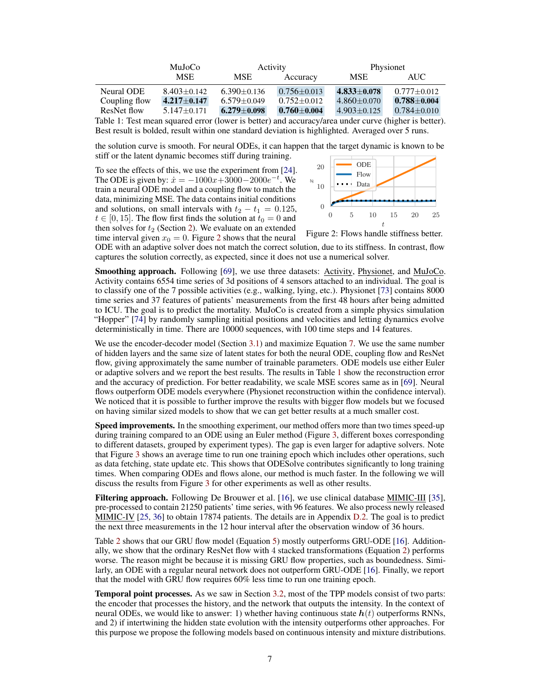<span id="page-6-1"></span>

|                                                                                                      | MuJoCo            |                   | Activity              |                   | Physionet         |  |  |
|------------------------------------------------------------------------------------------------------|-------------------|-------------------|-----------------------|-------------------|-------------------|--|--|
|                                                                                                      | <b>MSE</b>        | MSE               | Accuracy              | <b>MSE</b>        | AUC.              |  |  |
| Neural ODE                                                                                           | $8.403 \pm 0.142$ | $6.390 \pm 0.136$ | $0.756 \pm 0.013$     | $4.833 \pm 0.078$ | $0.777 \pm 0.012$ |  |  |
| Coupling flow                                                                                        | $4.217 \pm 0.147$ | $6.579 \pm 0.049$ | $0.752 \pm 0.012$     | $4.860 \pm 0.070$ | $0.788 \pm 0.004$ |  |  |
| ResNet flow                                                                                          | $5.147 \pm 0.171$ | $6.279 \pm 0.098$ | $0.760 \!\pm\! 0.004$ | $4.903 \pm 0.125$ | $0.784 \pm 0.010$ |  |  |
| Table 1: Test mean squared error (lower is better) and accuracy/area under curve (higher is better). |                   |                   |                       |                   |                   |  |  |

Best result is bolded, result within one standard deviation is highlighted. Averaged over 5 runs.

the solution curve is smooth. For neural ODEs, it can happen that the target dynamic is known to be stiff or the latent dynamic becomes stiff during training.

To see the effects of this, we use the experiment from [\[24\]](#page-10-13). The ODE is given by:  $\dot{x} = -1000x + 3000 - 2000e^{-t}$ . We train a neural ODE model and a coupling flow to match the data, minimizing MSE. The data contains initial conditions and solutions, on small intervals with  $t_2 - t_1 = 0.125$ ,  $t \in [0, 15]$ . The flow first finds the solution at  $t_0 = 0$  and then solves for  $t_2$  (Section [2\)](#page-1-1). We evaluate on an extended time interval given  $x_0 = 0$ . Figure [2](#page-6-0) shows that the neural

<span id="page-6-0"></span>

Figure 2: Flows handle stiffness better.

ODE with an adaptive solver does not match the correct solution, due to its stiffness. In contrast, flow captures the solution correctly, as expected, since it does not use a numerical solver.

Smoothing approach. Following [\[69\]](#page-12-0), we use three datasets: Activity, Physionet, and MuJoCo. Activity contains 6554 time series of 3d positions of 4 sensors attached to an individual. The goal is to classify one of the 7 possible activities (e.g., walking, lying, etc.). Physionet [\[73\]](#page-12-12) contains 8000 time series and 37 features of patients' measurements from the first 48 hours after being admitted to ICU. The goal is to predict the mortality. MuJoCo is created from a simple physics simulation "Hopper" [\[74\]](#page-12-13) by randomly sampling initial positions and velocities and letting dynamics evolve deterministically in time. There are 10000 sequences, with 100 time steps and 14 features.

We use the encoder-decoder model (Section [3.1\)](#page-3-0) and maximize Equation [7.](#page-3-1) We use the same number of hidden layers and the same size of latent states for both the neural ODE, coupling flow and ResNet flow, giving approximately the same number of trainable parameters. ODE models use either Euler or adaptive solvers and we report the best results. The results in Table [1](#page-6-1) show the reconstruction error and the accuracy of prediction. For better readability, we scale MSE scores same as in [\[69\]](#page-12-0). Neural flows outperform ODE models everywhere (Physionet reconstruction within the confidence interval). We noticed that it is possible to further improve the results with bigger flow models but we focused on having similar sized models to show that we can get better results at a much smaller cost.

Speed improvements. In the smoothing experiment, our method offers more than two times speed-up during training compared to an ODE using an Euler method (Figure [3,](#page-8-0) different boxes corresponding to different datasets, grouped by experiment types). The gap is even larger for adaptive solvers. Note that Figure [3](#page-8-0) shows an average time to run one training epoch which includes other operations, such as data fetching, state update etc. This shows that ODESolve contributes significantly to long training times. When comparing ODEs and flows alone, our method is much faster. In the following we will discuss the results from Figure [3](#page-8-0) for other experiments as well as other results.

Filtering approach. Following De Brouwer et al. [\[16\]](#page-9-2), we use clinical database MIMIC-III [\[35\]](#page-10-14), pre-processed to contain 21250 patients' time series, with 96 features. We also process newly released MIMIC-IV [\[25,](#page-10-15) [36\]](#page-10-16) to obtain 17874 patients. The details are in Appendix [D.2.](#page-21-0) The goal is to predict the next three measurements in the 12 hour interval after the observation window of 36 hours.

Table [2](#page-7-0) shows that our GRU flow model (Equation [5\)](#page-2-1) mostly outperforms GRU-ODE [\[16\]](#page-9-2). Additionally, we show that the ordinary ResNet flow with 4 stacked transformations (Equation [2\)](#page-1-0) performs worse. The reason might be because it is missing GRU flow properties, such as boundedness. Similarly, an ODE with a regular neural network does not outperform GRU-ODE [\[16\]](#page-9-2). Finally, we report that the model with GRU flow requires 60% less time to run one training epoch.

Temporal point processes. As we saw in Section [3.2,](#page-4-2) most of the TPP models consist of two parts: the encoder that processes the history, and the network that outputs the intensity. In the context of neural ODEs, we would like to answer: 1) whether having continuous state  $h(t)$  outperforms RNNs, and 2) if intertwining the hidden state evolution with the intensity outperforms other approaches. For this purpose we propose the following models based on continuous intensity and mixture distributions.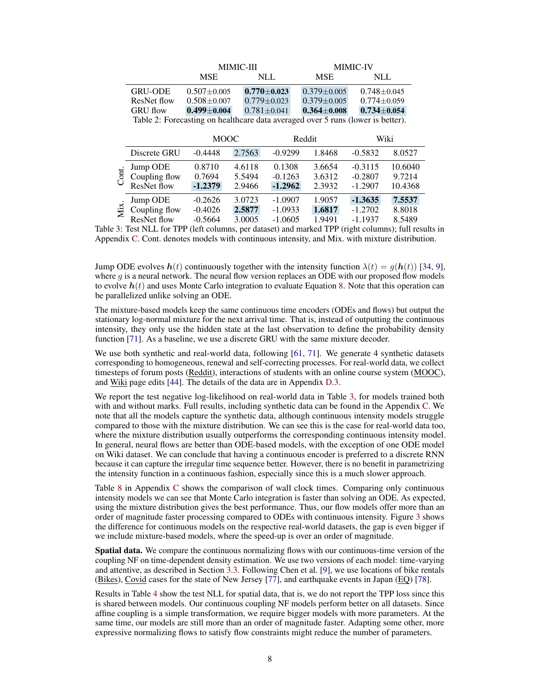<span id="page-7-0"></span>

|                                                                                 | <b>MIMIC-III</b>  |                   | <b>MIMIC-IV</b>   |                   |  |  |
|---------------------------------------------------------------------------------|-------------------|-------------------|-------------------|-------------------|--|--|
|                                                                                 | <b>MSE</b>        | NLL.              | <b>MSE</b>        | NLL               |  |  |
| <b>GRU-ODE</b>                                                                  | $0.507 + 0.005$   | $0.770 \pm 0.023$ | $0.379 \pm 0.005$ | $0.748 + 0.045$   |  |  |
| ResNet flow                                                                     | $0.508 \pm 0.007$ | $0.779 \pm 0.023$ | $0.379 \pm 0.005$ | $0.774 + 0.059$   |  |  |
| <b>GRU</b> flow                                                                 | $0.499 \pm 0.004$ | $0.781 \pm 0.041$ | $0.364 \pm 0.008$ | $0.734 \pm 0.054$ |  |  |
| Table 2: Forecasting on healthcare data averaged over 5 runs (lower is better). |                   |                   |                   |                   |  |  |

<span id="page-7-1"></span>

|       |               | <b>MOOC</b> |        | Reddit    |        | Wiki      |         |
|-------|---------------|-------------|--------|-----------|--------|-----------|---------|
|       | Discrete GRU  | $-0.4448$   | 2.7563 | $-0.9299$ | 1.8468 | $-0.5832$ | 8.0527  |
| Cont. | Jump ODE      | 0.8710      | 4.6118 | 0.1308    | 3.6654 | $-0.3115$ | 10.6040 |
|       | Coupling flow | 0.7694      | 5.5494 | $-0.1263$ | 3.6312 | $-0.2807$ | 9.7214  |
|       | ResNet flow   | $-1.2379$   | 2.9466 | $-1.2962$ | 2.3932 | $-1.2907$ | 10.4368 |
| Mix.  | Jump ODE      | $-0.2626$   | 3.0723 | $-1.0907$ | 1.9057 | $-1.3635$ | 7.5537  |
|       | Coupling flow | $-0.4026$   | 2.5877 | $-1.0933$ | 1.6817 | $-1.2702$ | 8.8018  |
|       | ResNet flow   | $-0.5664$   | 3.0005 | $-1.0605$ | 1.9491 | $-1.1937$ | 8.5489  |

Table 3: Test NLL for TPP (left columns, per dataset) and marked TPP (right columns); full results in Appendix [C.](#page-19-0) Cont. denotes models with continuous intensity, and Mix. with mixture distribution.

Jump ODE evolves  $h(t)$  continuously together with the intensity function  $\lambda(t) = g(h(t))$  [\[34,](#page-10-2) [9\]](#page-9-3), where g is a neural network. The neural flow version replaces an ODE with our proposed flow models to evolve  $h(t)$  and uses Monte Carlo integration to evaluate Equation [8.](#page-4-0) Note that this operation can be parallelized unlike solving an ODE.

The mixture-based models keep the same continuous time encoders (ODEs and flows) but output the stationary log-normal mixture for the next arrival time. That is, instead of outputting the continuous intensity, they only use the hidden state at the last observation to define the probability density function [\[71\]](#page-12-7). As a baseline, we use a discrete GRU with the same mixture decoder.

We use both synthetic and real-world data, following [\[61,](#page-11-13) [71\]](#page-12-7). We generate 4 synthetic datasets corresponding to homogeneous, renewal and self-correcting processes. For real-world data, we collect timesteps of forum posts (Reddit), interactions of students with an online course system (MOOC), and Wiki page edits [\[44\]](#page-11-14). The details of the data are in Appendix [D.3.](#page-21-1)

We report the test negative log-likelihood on real-world data in Table [3,](#page-7-1) for models trained both with and without marks. Full results, including synthetic data can be found in the Appendix [C.](#page-19-0) We note that all the models capture the synthetic data, although continuous intensity models struggle compared to those with the mixture distribution. We can see this is the case for real-world data too, where the mixture distribution usually outperforms the corresponding continuous intensity model. In general, neural flows are better than ODE-based models, with the exception of one ODE model on Wiki dataset. We can conclude that having a continuous encoder is preferred to a discrete RNN because it can capture the irregular time sequence better. However, there is no benefit in parametrizing the intensity function in a continuous fashion, especially since this is a much slower approach.

Table [8](#page-19-1) in Appendix [C](#page-19-0) shows the comparison of wall clock times. Comparing only continuous intensity models we can see that Monte Carlo integration is faster than solving an ODE. As expected, using the mixture distribution gives the best performance. Thus, our flow models offer more than an order of magnitude faster processing compared to ODEs with continuous intensity. Figure [3](#page-8-0) shows the difference for continuous models on the respective real-world datasets, the gap is even bigger if we include mixture-based models, where the speed-up is over an order of magnitude.

Spatial data. We compare the continuous normalizing flows with our continuous-time version of the coupling NF on time-dependent density estimation. We use two versions of each model: time-varying and attentive, as described in Section [3.3.](#page-4-3) Following Chen et al. [\[9\]](#page-9-3), we use locations of bike rentals (Bikes), Covid cases for the state of New Jersey [\[77\]](#page-12-14), and earthquake events in Japan (EQ) [\[78\]](#page-12-15).

Results in Table [4](#page-8-0) show the test NLL for spatial data, that is, we do not report the TPP loss since this is shared between models. Our continuous coupling NF models perform better on all datasets. Since affine coupling is a simple transformation, we require bigger models with more parameters. At the same time, our models are still more than an order of magnitude faster. Adapting some other, more expressive normalizing flows to satisfy flow constraints might reduce the number of parameters.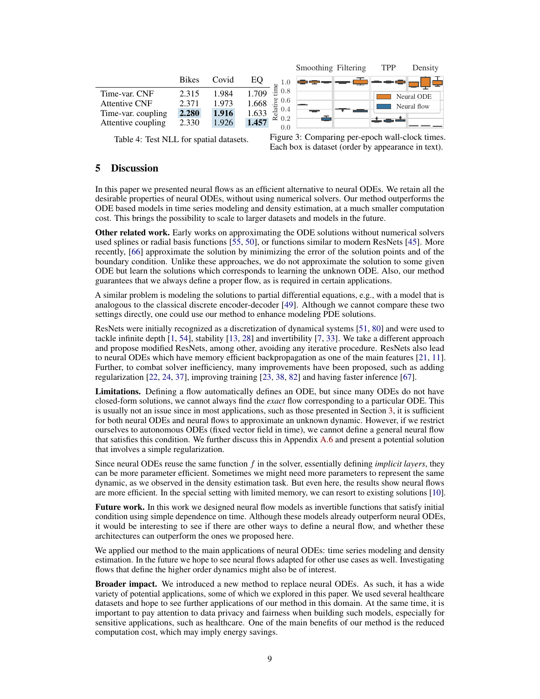<span id="page-8-0"></span>

|              |       |       |                    |                                                         | TPP                 | Density     |
|--------------|-------|-------|--------------------|---------------------------------------------------------|---------------------|-------------|
| <b>Bikes</b> | Covid | EО    |                    |                                                         |                     |             |
| 2.315        | 1.984 | 1.709 |                    |                                                         |                     | Neural ODE  |
|              |       |       |                    |                                                         |                     | Neural flow |
| 2.280        | 1.916 | 1.633 |                    |                                                         |                     |             |
| 2.330        | 1.926 | 1.457 |                    |                                                         |                     |             |
|              | 2.371 | 1.973 | 语<br>1.668<br>dist | 0.8<br>$\frac{6}{5}$ 0.6<br>0.4<br>$\approx 0.2$<br>0.0 | Smoothing Filtering |             |

Table 4: Test NLL for spatial datasets.

Figure 3: Comparing per-epoch wall-clock times. Each box is dataset (order by appearance in text).

### 5 Discussion

In this paper we presented neural flows as an efficient alternative to neural ODEs. We retain all the desirable properties of neural ODEs, without using numerical solvers. Our method outperforms the ODE based models in time series modeling and density estimation, at a much smaller computation cost. This brings the possibility to scale to larger datasets and models in the future.

Other related work. Early works on approximating the ODE solutions without numerical solvers used splines or radial basis functions [\[55,](#page-11-15) [50\]](#page-11-16), or functions similar to modern ResNets [\[45\]](#page-11-17). More recently, [\[66\]](#page-12-16) approximate the solution by minimizing the error of the solution points and of the boundary condition. Unlike these approaches, we do not approximate the solution to some given ODE but learn the solutions which corresponds to learning the unknown ODE. Also, our method guarantees that we always define a proper flow, as is required in certain applications.

A similar problem is modeling the solutions to partial differential equations, e.g., with a model that is analogous to the classical discrete encoder-decoder [\[49\]](#page-11-18). Although we cannot compare these two settings directly, one could use our method to enhance modeling PDE solutions.

ResNets were initially recognized as a discretization of dynamical systems [\[51,](#page-11-19) [80\]](#page-12-17) and were used to tackle infinite depth [\[1,](#page-9-16) [54\]](#page-11-20), stability [\[13,](#page-9-17) [28\]](#page-10-17) and invertibility [\[7,](#page-9-18) [33\]](#page-10-18). We take a different approach and propose modified ResNets, among other, avoiding any iterative procedure. ResNets also lead to neural ODEs which have memory efficient backpropagation as one of the main features [\[21,](#page-10-19) [11\]](#page-9-0). Further, to combat solver inefficiency, many improvements have been proposed, such as adding regularization [\[22,](#page-10-0) [24,](#page-10-13) [37\]](#page-10-1), improving training [\[23,](#page-10-20) [38,](#page-10-11) [82\]](#page-12-18) and having faster inference [\[67\]](#page-12-19).

Limitations. Defining a flow automatically defines an ODE, but since many ODEs do not have closed-form solutions, we cannot always find the *exact* flow corresponding to a particular ODE. This is usually not an issue since in most applications, such as those presented in Section [3,](#page-3-2) it is sufficient for both neural ODEs and neural flows to approximate an unknown dynamic. However, if we restrict ourselves to autonomous ODEs (fixed vector field in time), we cannot define a general neural flow that satisfies this condition. We further discuss this in Appendix [A.6](#page-15-1) and present a potential solution that involves a simple regularization.

Since neural ODEs reuse the same function f in the solver, essentially defining *implicit layers*, they can be more parameter efficient. Sometimes we might need more parameters to represent the same dynamic, as we observed in the density estimation task. But even here, the results show neural flows are more efficient. In the special setting with limited memory, we can resort to existing solutions [\[10\]](#page-9-19).

Future work. In this work we designed neural flow models as invertible functions that satisfy initial condition using simple dependence on time. Although these models already outperform neural ODEs, it would be interesting to see if there are other ways to define a neural flow, and whether these architectures can outperform the ones we proposed here.

We applied our method to the main applications of neural ODEs: time series modeling and density estimation. In the future we hope to see neural flows adapted for other use cases as well. Investigating flows that define the higher order dynamics might also be of interest.

Broader impact. We introduced a new method to replace neural ODEs. As such, it has a wide variety of potential applications, some of which we explored in this paper. We used several healthcare datasets and hope to see further applications of our method in this domain. At the same time, it is important to pay attention to data privacy and fairness when building such models, especially for sensitive applications, such as healthcare. One of the main benefits of our method is the reduced computation cost, which may imply energy savings.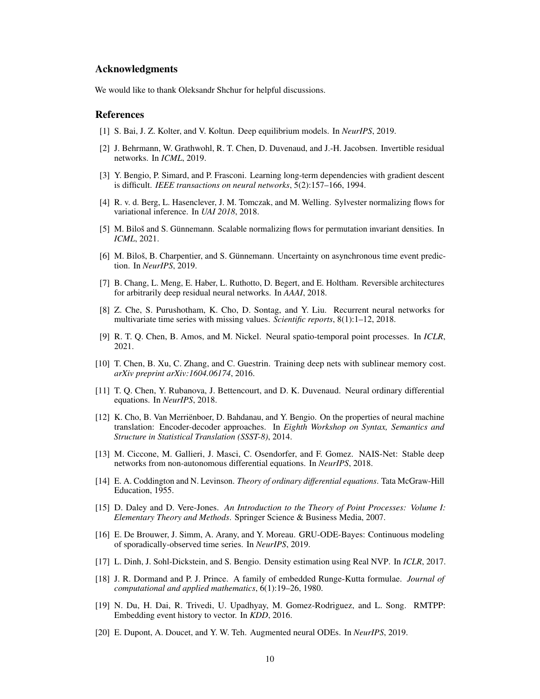### Acknowledgments

We would like to thank Oleksandr Shchur for helpful discussions.

### References

- <span id="page-9-16"></span>[1] S. Bai, J. Z. Kolter, and V. Koltun. Deep equilibrium models. In *NeurIPS*, 2019.
- <span id="page-9-5"></span>[2] J. Behrmann, W. Grathwohl, R. T. Chen, D. Duvenaud, and J.-H. Jacobsen. Invertible residual networks. In *ICML*, 2019.
- <span id="page-9-10"></span>[3] Y. Bengio, P. Simard, and P. Frasconi. Learning long-term dependencies with gradient descent is difficult. *IEEE transactions on neural networks*, 5(2):157–166, 1994.
- <span id="page-9-13"></span>[4] R. v. d. Berg, L. Hasenclever, J. M. Tomczak, and M. Welling. Sylvester normalizing flows for variational inference. In *UAI 2018*, 2018.
- <span id="page-9-14"></span>[5] M. Biloš and S. Günnemann. Scalable normalizing flows for permutation invariant densities. In *ICML*, 2021.
- <span id="page-9-12"></span>[6] M. Biloš, B. Charpentier, and S. Günnemann. Uncertainty on asynchronous time event prediction. In *NeurIPS*, 2019.
- <span id="page-9-18"></span>[7] B. Chang, L. Meng, E. Haber, L. Ruthotto, D. Begert, and E. Holtham. Reversible architectures for arbitrarily deep residual neural networks. In *AAAI*, 2018.
- <span id="page-9-8"></span>[8] Z. Che, S. Purushotham, K. Cho, D. Sontag, and Y. Liu. Recurrent neural networks for multivariate time series with missing values. *Scientific reports*, 8(1):1–12, 2018.
- <span id="page-9-3"></span>[9] R. T. Q. Chen, B. Amos, and M. Nickel. Neural spatio-temporal point processes. In *ICLR*, 2021.
- <span id="page-9-19"></span>[10] T. Chen, B. Xu, C. Zhang, and C. Guestrin. Training deep nets with sublinear memory cost. *arXiv preprint arXiv:1604.06174*, 2016.
- <span id="page-9-0"></span>[11] T. Q. Chen, Y. Rubanova, J. Bettencourt, and D. K. Duvenaud. Neural ordinary differential equations. In *NeurIPS*, 2018.
- <span id="page-9-6"></span>[12] K. Cho, B. Van Merriënboer, D. Bahdanau, and Y. Bengio. On the properties of neural machine translation: Encoder-decoder approaches. In *Eighth Workshop on Syntax, Semantics and Structure in Statistical Translation (SSST-8)*, 2014.
- <span id="page-9-17"></span>[13] M. Ciccone, M. Gallieri, J. Masci, C. Osendorfer, and F. Gomez. NAIS-Net: Stable deep networks from non-autonomous differential equations. In *NeurIPS*, 2018.
- <span id="page-9-1"></span>[14] E. A. Coddington and N. Levinson. *Theory of ordinary differential equations*. Tata McGraw-Hill Education, 1955.
- <span id="page-9-11"></span>[15] D. Daley and D. Vere-Jones. *An Introduction to the Theory of Point Processes: Volume I: Elementary Theory and Methods*. Springer Science & Business Media, 2007.
- <span id="page-9-2"></span>[16] E. De Brouwer, J. Simm, A. Arany, and Y. Moreau. GRU-ODE-Bayes: Continuous modeling of sporadically-observed time series. In *NeurIPS*, 2019.
- <span id="page-9-4"></span>[17] L. Dinh, J. Sohl-Dickstein, and S. Bengio. Density estimation using Real NVP. In *ICLR*, 2017.
- <span id="page-9-15"></span>[18] J. R. Dormand and P. J. Prince. A family of embedded Runge-Kutta formulae. *Journal of computational and applied mathematics*, 6(1):19–26, 1980.
- <span id="page-9-9"></span>[19] N. Du, H. Dai, R. Trivedi, U. Upadhyay, M. Gomez-Rodriguez, and L. Song. RMTPP: Embedding event history to vector. In *KDD*, 2016.
- <span id="page-9-7"></span>[20] E. Dupont, A. Doucet, and Y. W. Teh. Augmented neural ODEs. In *NeurIPS*, 2019.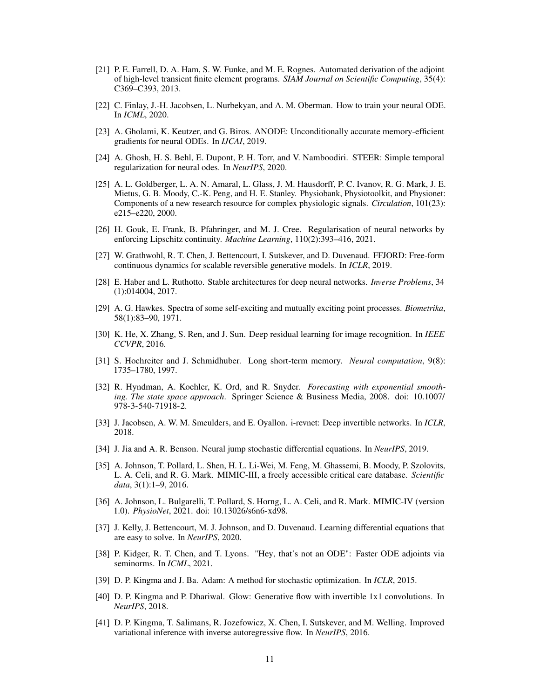- <span id="page-10-19"></span>[21] P. E. Farrell, D. A. Ham, S. W. Funke, and M. E. Rognes. Automated derivation of the adjoint of high-level transient finite element programs. *SIAM Journal on Scientific Computing*, 35(4): C369–C393, 2013.
- <span id="page-10-0"></span>[22] C. Finlay, J.-H. Jacobsen, L. Nurbekyan, and A. M. Oberman. How to train your neural ODE. In *ICML*, 2020.
- <span id="page-10-20"></span>[23] A. Gholami, K. Keutzer, and G. Biros. ANODE: Unconditionally accurate memory-efficient gradients for neural ODEs. In *IJCAI*, 2019.
- <span id="page-10-13"></span>[24] A. Ghosh, H. S. Behl, E. Dupont, P. H. Torr, and V. Namboodiri. STEER: Simple temporal regularization for neural odes. In *NeurIPS*, 2020.
- <span id="page-10-15"></span>[25] A. L. Goldberger, L. A. N. Amaral, L. Glass, J. M. Hausdorff, P. C. Ivanov, R. G. Mark, J. E. Mietus, G. B. Moody, C.-K. Peng, and H. E. Stanley. Physiobank, Physiotoolkit, and Physionet: Components of a new research resource for complex physiologic signals. *Circulation*, 101(23): e215–e220, 2000.
- <span id="page-10-4"></span>[26] H. Gouk, E. Frank, B. Pfahringer, and M. J. Cree. Regularisation of neural networks by enforcing Lipschitz continuity. *Machine Learning*, 110(2):393–416, 2021.
- <span id="page-10-10"></span>[27] W. Grathwohl, R. T. Chen, J. Bettencourt, I. Sutskever, and D. Duvenaud. FFJORD: Free-form continuous dynamics for scalable reversible generative models. In *ICLR*, 2019.
- <span id="page-10-17"></span>[28] E. Haber and L. Ruthotto. Stable architectures for deep neural networks. *Inverse Problems*, 34 (1):014004, 2017.
- <span id="page-10-7"></span>[29] A. G. Hawkes. Spectra of some self-exciting and mutually exciting point processes. *Biometrika*, 58(1):83–90, 1971.
- <span id="page-10-3"></span>[30] K. He, X. Zhang, S. Ren, and J. Sun. Deep residual learning for image recognition. In *IEEE CCVPR*, 2016.
- <span id="page-10-6"></span>[31] S. Hochreiter and J. Schmidhuber. Long short-term memory. *Neural computation*, 9(8): 1735–1780, 1997.
- <span id="page-10-5"></span>[32] R. Hyndman, A. Koehler, K. Ord, and R. Snyder. *Forecasting with exponential smoothing. The state space approach*. Springer Science & Business Media, 2008. doi: 10.1007/ 978-3-540-71918-2.
- <span id="page-10-18"></span>[33] J. Jacobsen, A. W. M. Smeulders, and E. Oyallon. i-revnet: Deep invertible networks. In *ICLR*, 2018.
- <span id="page-10-2"></span>[34] J. Jia and A. R. Benson. Neural jump stochastic differential equations. In *NeurIPS*, 2019.
- <span id="page-10-14"></span>[35] A. Johnson, T. Pollard, L. Shen, H. L. Li-Wei, M. Feng, M. Ghassemi, B. Moody, P. Szolovits, L. A. Celi, and R. G. Mark. MIMIC-III, a freely accessible critical care database. *Scientific data*, 3(1):1–9, 2016.
- <span id="page-10-16"></span>[36] A. Johnson, L. Bulgarelli, T. Pollard, S. Horng, L. A. Celi, and R. Mark. MIMIC-IV (version 1.0). *PhysioNet*, 2021. doi: 10.13026/s6n6-xd98.
- <span id="page-10-1"></span>[37] J. Kelly, J. Bettencourt, M. J. Johnson, and D. Duvenaud. Learning differential equations that are easy to solve. In *NeurIPS*, 2020.
- <span id="page-10-11"></span>[38] P. Kidger, R. T. Chen, and T. Lyons. "Hey, that's not an ODE": Faster ODE adjoints via seminorms. In *ICML*, 2021.
- <span id="page-10-12"></span>[39] D. P. Kingma and J. Ba. Adam: A method for stochastic optimization. In *ICLR*, 2015.
- <span id="page-10-9"></span>[40] D. P. Kingma and P. Dhariwal. Glow: Generative flow with invertible 1x1 convolutions. In *NeurIPS*, 2018.
- <span id="page-10-8"></span>[41] D. P. Kingma, T. Salimans, R. Jozefowicz, X. Chen, I. Sutskever, and M. Welling. Improved variational inference with inverse autoregressive flow. In *NeurIPS*, 2016.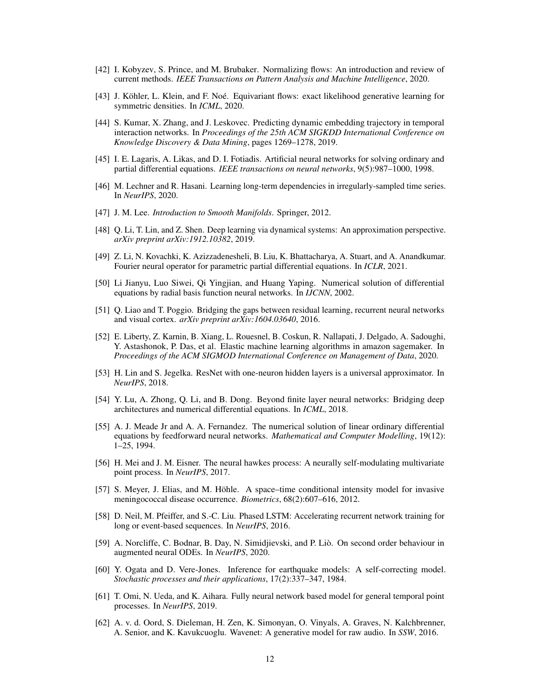- <span id="page-11-9"></span>[42] I. Kobyzev, S. Prince, and M. Brubaker. Normalizing flows: An introduction and review of current methods. *IEEE Transactions on Pattern Analysis and Machine Intelligence*, 2020.
- <span id="page-11-8"></span>[43] J. Köhler, L. Klein, and F. Noé. Equivariant flows: exact likelihood generative learning for symmetric densities. In *ICML*, 2020.
- <span id="page-11-14"></span>[44] S. Kumar, X. Zhang, and J. Leskovec. Predicting dynamic embedding trajectory in temporal interaction networks. In *Proceedings of the 25th ACM SIGKDD International Conference on Knowledge Discovery & Data Mining*, pages 1269–1278, 2019.
- <span id="page-11-17"></span>[45] I. E. Lagaris, A. Likas, and D. I. Fotiadis. Artificial neural networks for solving ordinary and partial differential equations. *IEEE transactions on neural networks*, 9(5):987–1000, 1998.
- <span id="page-11-6"></span>[46] M. Lechner and R. Hasani. Learning long-term dependencies in irregularly-sampled time series. In *NeurIPS*, 2020.
- <span id="page-11-0"></span>[47] J. M. Lee. *Introduction to Smooth Manifolds*. Springer, 2012.
- <span id="page-11-1"></span>[48] Q. Li, T. Lin, and Z. Shen. Deep learning via dynamical systems: An approximation perspective. *arXiv preprint arXiv:1912.10382*, 2019.
- <span id="page-11-18"></span>[49] Z. Li, N. Kovachki, K. Azizzadenesheli, B. Liu, K. Bhattacharya, A. Stuart, and A. Anandkumar. Fourier neural operator for parametric partial differential equations. In *ICLR*, 2021.
- <span id="page-11-16"></span>[50] Li Jianyu, Luo Siwei, Qi Yingjian, and Huang Yaping. Numerical solution of differential equations by radial basis function neural networks. In *IJCNN*, 2002.
- <span id="page-11-19"></span>[51] Q. Liao and T. Poggio. Bridging the gaps between residual learning, recurrent neural networks and visual cortex. *arXiv preprint arXiv:1604.03640*, 2016.
- <span id="page-11-12"></span>[52] E. Liberty, Z. Karnin, B. Xiang, L. Rouesnel, B. Coskun, R. Nallapati, J. Delgado, A. Sadoughi, Y. Astashonok, P. Das, et al. Elastic machine learning algorithms in amazon sagemaker. In *Proceedings of the ACM SIGMOD International Conference on Management of Data*, 2020.
- <span id="page-11-2"></span>[53] H. Lin and S. Jegelka. ResNet with one-neuron hidden layers is a universal approximator. In *NeurIPS*, 2018.
- <span id="page-11-20"></span>[54] Y. Lu, A. Zhong, Q. Li, and B. Dong. Beyond finite layer neural networks: Bridging deep architectures and numerical differential equations. In *ICML*, 2018.
- <span id="page-11-15"></span>[55] A. J. Meade Jr and A. A. Fernandez. The numerical solution of linear ordinary differential equations by feedforward neural networks. *Mathematical and Computer Modelling*, 19(12): 1–25, 1994.
- <span id="page-11-7"></span>[56] H. Mei and J. M. Eisner. The neural hawkes process: A neurally self-modulating multivariate point process. In *NeurIPS*, 2017.
- <span id="page-11-11"></span>[57] S. Meyer, J. Elias, and M. Höhle. A space–time conditional intensity model for invasive meningococcal disease occurrence. *Biometrics*, 68(2):607–616, 2012.
- <span id="page-11-5"></span>[58] D. Neil, M. Pfeiffer, and S.-C. Liu. Phased LSTM: Accelerating recurrent network training for long or event-based sequences. In *NeurIPS*, 2016.
- <span id="page-11-3"></span>[59] A. Norcliffe, C. Bodnar, B. Day, N. Simidjievski, and P. Liò. On second order behaviour in augmented neural ODEs. In *NeurIPS*, 2020.
- <span id="page-11-10"></span>[60] Y. Ogata and D. Vere-Jones. Inference for earthquake models: A self-correcting model. *Stochastic processes and their applications*, 17(2):337–347, 1984.
- <span id="page-11-13"></span>[61] T. Omi, N. Ueda, and K. Aihara. Fully neural network based model for general temporal point processes. In *NeurIPS*, 2019.
- <span id="page-11-4"></span>[62] A. v. d. Oord, S. Dieleman, H. Zen, K. Simonyan, O. Vinyals, A. Graves, N. Kalchbrenner, A. Senior, and K. Kavukcuoglu. Wavenet: A generative model for raw audio. In *SSW*, 2016.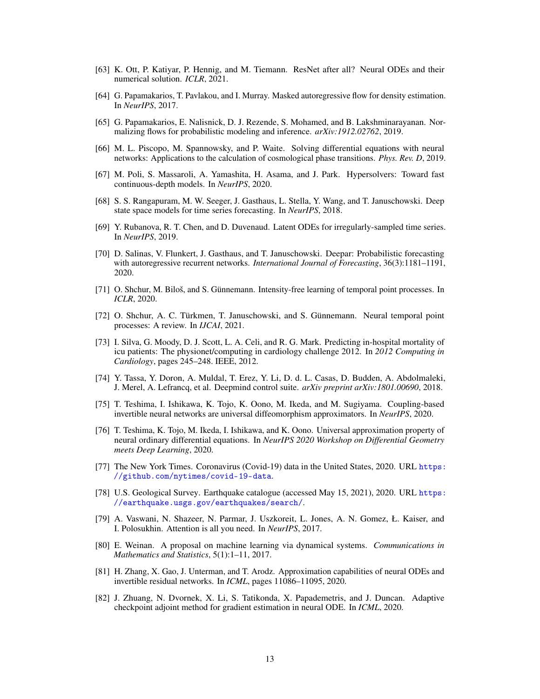- <span id="page-12-11"></span>[63] K. Ott, P. Katiyar, P. Hennig, and M. Tiemann. ResNet after all? Neural ODEs and their numerical solution. *ICLR*, 2021.
- <span id="page-12-9"></span>[64] G. Papamakarios, T. Pavlakou, and I. Murray. Masked autoregressive flow for density estimation. In *NeurIPS*, 2017.
- <span id="page-12-8"></span>[65] G. Papamakarios, E. Nalisnick, D. J. Rezende, S. Mohamed, and B. Lakshminarayanan. Normalizing flows for probabilistic modeling and inference. *arXiv:1912.02762*, 2019.
- <span id="page-12-16"></span>[66] M. L. Piscopo, M. Spannowsky, and P. Waite. Solving differential equations with neural networks: Applications to the calculation of cosmological phase transitions. *Phys. Rev. D*, 2019.
- <span id="page-12-19"></span>[67] M. Poli, S. Massaroli, A. Yamashita, H. Asama, and J. Park. Hypersolvers: Toward fast continuous-depth models. In *NeurIPS*, 2020.
- <span id="page-12-5"></span>[68] S. S. Rangapuram, M. W. Seeger, J. Gasthaus, L. Stella, Y. Wang, and T. Januschowski. Deep state space models for time series forecasting. In *NeurIPS*, 2018.
- <span id="page-12-0"></span>[69] Y. Rubanova, R. T. Chen, and D. Duvenaud. Latent ODEs for irregularly-sampled time series. In *NeurIPS*, 2019.
- <span id="page-12-4"></span>[70] D. Salinas, V. Flunkert, J. Gasthaus, and T. Januschowski. Deepar: Probabilistic forecasting with autoregressive recurrent networks. *International Journal of Forecasting*, 36(3):1181–1191, 2020.
- <span id="page-12-7"></span>[71] O. Shchur, M. Biloš, and S. Günnemann. Intensity-free learning of temporal point processes. In *ICLR*, 2020.
- <span id="page-12-6"></span>[72] O. Shchur, A. C. Türkmen, T. Januschowski, and S. Günnemann. Neural temporal point processes: A review. In *IJCAI*, 2021.
- <span id="page-12-12"></span>[73] I. Silva, G. Moody, D. J. Scott, L. A. Celi, and R. G. Mark. Predicting in-hospital mortality of icu patients: The physionet/computing in cardiology challenge 2012. In *2012 Computing in Cardiology*, pages 245–248. IEEE, 2012.
- <span id="page-12-13"></span>[74] Y. Tassa, Y. Doron, A. Muldal, T. Erez, Y. Li, D. d. L. Casas, D. Budden, A. Abdolmaleki, J. Merel, A. Lefrancq, et al. Deepmind control suite. *arXiv preprint arXiv:1801.00690*, 2018.
- <span id="page-12-2"></span>[75] T. Teshima, I. Ishikawa, K. Tojo, K. Oono, M. Ikeda, and M. Sugiyama. Coupling-based invertible neural networks are universal diffeomorphism approximators. In *NeurIPS*, 2020.
- <span id="page-12-1"></span>[76] T. Teshima, K. Tojo, M. Ikeda, I. Ishikawa, and K. Oono. Universal approximation property of neural ordinary differential equations. In *NeurIPS 2020 Workshop on Differential Geometry meets Deep Learning*, 2020.
- <span id="page-12-14"></span>[77] The New York Times. Coronavirus (Covid-19) data in the United States, 2020. URL [https:](https://github.com/nytimes/covid-19-data) [//github.com/nytimes/covid-19-data](https://github.com/nytimes/covid-19-data).
- <span id="page-12-15"></span>[78] U.S. Geological Survey. Earthquake catalogue (accessed May 15, 2021), 2020. URL [https:](https://earthquake.usgs.gov/earthquakes/search/) [//earthquake.usgs.gov/earthquakes/search/](https://earthquake.usgs.gov/earthquakes/search/).
- <span id="page-12-10"></span>[79] A. Vaswani, N. Shazeer, N. Parmar, J. Uszkoreit, L. Jones, A. N. Gomez, Ł. Kaiser, and I. Polosukhin. Attention is all you need. In *NeurIPS*, 2017.
- <span id="page-12-17"></span>[80] E. Weinan. A proposal on machine learning via dynamical systems. *Communications in Mathematics and Statistics*, 5(1):1–11, 2017.
- <span id="page-12-3"></span>[81] H. Zhang, X. Gao, J. Unterman, and T. Arodz. Approximation capabilities of neural ODEs and invertible residual networks. In *ICML*, pages 11086–11095, 2020.
- <span id="page-12-18"></span>[82] J. Zhuang, N. Dvornek, X. Li, S. Tatikonda, X. Papademetris, and J. Duncan. Adaptive checkpoint adjoint method for gradient estimation in neural ODE. In *ICML*, 2020.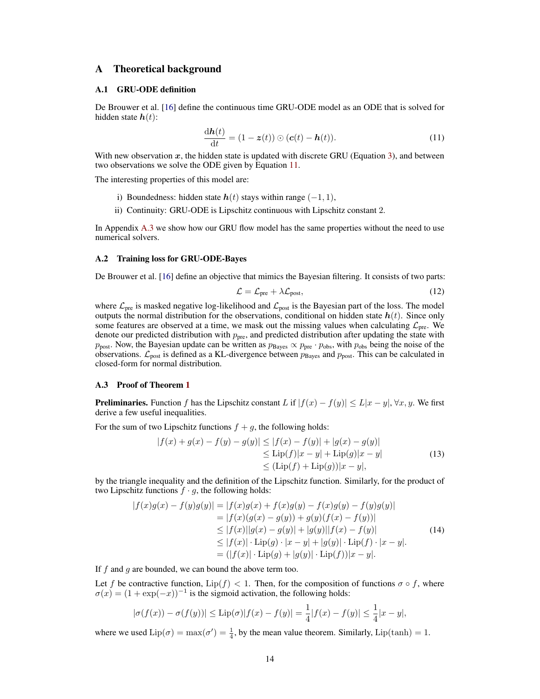### A Theoretical background

#### <span id="page-13-0"></span>A.1 GRU-ODE definition

De Brouwer et al. [\[16\]](#page-9-2) define the continuous time GRU-ODE model as an ODE that is solved for hidden state  $h(t)$ :

<span id="page-13-3"></span>
$$
\frac{\mathrm{d}\boldsymbol{h}(t)}{\mathrm{d}t} = (1 - \boldsymbol{z}(t)) \odot (\boldsymbol{c}(t) - \boldsymbol{h}(t)). \tag{11}
$$

With new observation  $x$ , the hidden state is updated with discrete GRU (Equation [3\)](#page-2-0), and between two observations we solve the ODE given by Equation [11.](#page-13-3)

The interesting properties of this model are:

- i) Boundedness: hidden state  $h(t)$  stays within range  $(-1, 1)$ ,
- ii) Continuity: GRU-ODE is Lipschitz continuous with Lipschitz constant 2.

In Appendix [A.3](#page-13-1) we show how our GRU flow model has the same properties without the need to use numerical solvers.

#### <span id="page-13-2"></span>A.2 Training loss for GRU-ODE-Bayes

De Brouwer et al. [\[16\]](#page-9-2) define an objective that mimics the Bayesian filtering. It consists of two parts:

<span id="page-13-5"></span>
$$
\mathcal{L} = \mathcal{L}_{pre} + \lambda \mathcal{L}_{post},\tag{12}
$$

where  $\mathcal{L}_{\text{pre}}$  is masked negative log-likelihood and  $\mathcal{L}_{\text{post}}$  is the Bayesian part of the loss. The model outputs the normal distribution for the observations, conditional on hidden state  $h(t)$ . Since only some features are observed at a time, we mask out the missing values when calculating  $\mathcal{L}_{pre}$ . We denote our predicted distribution with  $p_{\text{pre}}$ , and predicted distribution after updating the state with  $p_{\text{post}}$ . Now, the Bayesian update can be written as  $p_{\text{Bayes}} \propto p_{\text{pre}} \cdot p_{\text{obs}}$ , with  $p_{\text{obs}}$  being the noise of the observations.  $\mathcal{L}_{post}$  is defined as a KL-divergence between  $p_{Bayes}$  and  $p_{post}$ . This can be calculated in closed-form for normal distribution.

#### <span id="page-13-1"></span>A.3 Proof of Theorem [1](#page-2-2)

**Preliminaries.** Function f has the Lipschitz constant L if  $|f(x) - f(y)| \le L|x - y|$ ,  $\forall x, y$ . We first derive a few useful inequalities.

For the sum of two Lipschitz functions  $f + g$ , the following holds:

<span id="page-13-4"></span>
$$
|f(x) + g(x) - f(y) - g(y)| \le |f(x) - f(y)| + |g(x) - g(y)|
$$
  
\n
$$
\le \text{Lip}(f)|x - y| + \text{Lip}(g)|x - y|
$$
  
\n
$$
\le (\text{Lip}(f) + \text{Lip}(g))|x - y|,
$$
\n(13)

by the triangle inequality and the definition of the Lipschitz function. Similarly, for the product of two Lipschitz functions  $f \cdot g$ , the following holds:

$$
|f(x)g(x) - f(y)g(y)| = |f(x)g(x) + f(x)g(y) - f(x)g(y) - f(y)g(y)|
$$
  
\n
$$
= |f(x)(g(x) - g(y)) + g(y)(f(x) - f(y))|
$$
  
\n
$$
\leq |f(x)||g(x) - g(y)| + |g(y)||f(x) - f(y)|
$$
  
\n
$$
\leq |f(x)| \cdot \text{Lip}(g) \cdot |x - y| + |g(y)| \cdot \text{Lip}(f) \cdot |x - y|.
$$
  
\n
$$
= (|f(x)| \cdot \text{Lip}(g) + |g(y)| \cdot \text{Lip}(f))|x - y|.
$$
 (14)

If  $f$  and  $q$  are bounded, we can bound the above term too.

Let f be contractive function,  $\text{Lip}(f) < 1$ . Then, for the composition of functions  $\sigma \circ f$ , where  $\sigma(x) = (1 + \exp(-x))^{-1}$  is the sigmoid activation, the following holds:

$$
|\sigma(f(x)) - \sigma(f(y))| \le \text{Lip}(\sigma)|f(x) - f(y)| = \frac{1}{4}|f(x) - f(y)| \le \frac{1}{4}|x - y|,
$$

where we used  $\text{Lip}(\sigma) = \max(\sigma') = \frac{1}{4}$ , by the mean value theorem. Similarly,  $\text{Lip}(\tanh) = 1$ .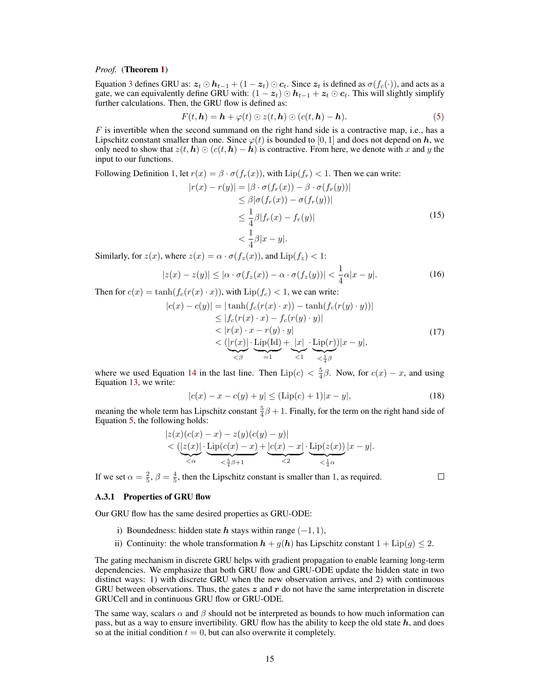#### *Proof.* (Theorem [1](#page-2-2))

Equation [3](#page-2-0) defines GRU as:  $z_t \odot h_{t-1} + (1 - z_t) \odot c_t$ . Since  $z_t$  is defined as  $\sigma(f_c(\cdot))$ , and acts as a gate, we can equivalently define GRU with:  $(1 - z_t) \odot h_{t-1} + z_t \odot c_t$ . This will slightly simplify further calculations. Then, the GRU flow is defined as:

$$
F(t, h) = h + \varphi(t) \odot z(t, h) \odot (c(t, h) - h).
$$
\n(5)

 $F$  is invertible when the second summand on the right hand side is a contractive map, i.e., has a Lipschitz constant smaller than one. Since  $\varphi(t)$  is bounded to [0, 1] and does not depend on h, we only need to show that  $z(t, h) \odot (c(t, h) - h)$  is contractive. From here, we denote with x and y the input to our functions.

Following Definition [1,](#page-2-5) let  $r(x) = \beta \cdot \sigma(f_r(x))$ , with  $\text{Lip}(f_r) < 1$ . Then we can write:

$$
|r(x) - r(y)| = |\beta \cdot \sigma(f_r(x)) - \beta \cdot \sigma(f_r(y))|
$$
  
\n
$$
\leq \beta |\sigma(f_r(x)) - \sigma(f_r(y))|
$$
  
\n
$$
\leq \frac{1}{4}\beta |f_r(x) - f_r(y)|
$$
  
\n
$$
< \frac{1}{4}\beta |x - y|.
$$
\n(15)

Similarly, for  $z(x)$ , where  $z(x) = \alpha \cdot \sigma(f_z(x))$ , and  $\text{Lip}(f_z) < 1$ :

$$
|z(x) - z(y)| \le |\alpha \cdot \sigma(f_z(x)) - \alpha \cdot \sigma(f_z(y))| < \frac{1}{4}\alpha |x - y|.\tag{16}
$$

Then for  $c(x) = \tanh(f_c(r(x) \cdot x))$ , with  $\text{Lip}(f_c) < 1$ , we can write:

$$
|c(x) - c(y)| = |\tanh(f_c(r(x) \cdot x)) - \tanh(f_c(r(y) \cdot y))|
$$
  
\n
$$
\leq |f_c(r(x) \cdot x) - f_c(r(y) \cdot y)|
$$
  
\n
$$
< |r(x) \cdot x - r(y) \cdot y|
$$
  
\n
$$
< \underbrace{(|r(x)| \cdot \operatorname{Lip}(\operatorname{Id})}_{\leq \beta} + \underbrace{|x|}_{\leq 1} \cdot \underbrace{\operatorname{Lip}(r)}_{\leq \frac{1}{4}\beta}) |x - y|,
$$
\n(17)

where we used Equation [14](#page-13-4) in the last line. Then  $\text{Lip}(c) < \frac{5}{4}\beta$ . Now, for  $c(x) - x$ , and using Equation [13,](#page-13-5) we write:

$$
|c(x) - x - c(y) + y| \le (\text{Lip}(c) + 1)|x - y|,
$$
\n(18)

meaning the whole term has Lipschitz constant  $\frac{5}{4}\beta + 1$ . Finally, for the term on the right hand side of Equation [5,](#page-2-1) the following holds:

$$
\begin{array}{l} |z(x)(c(x)-x)-z(y)(c(y)-y)|\\&<(|z(x)|\cdot\displaystyle\operatorname{Lip}(c(x)-x)+|c(x)-x|\cdot\displaystyle\operatorname{Lip}(z(x))\over <\alpha}|x-y|.\\ \hline \end{array}
$$

If we set  $\alpha = \frac{2}{5}$ ,  $\beta = \frac{4}{5}$ , then the Lipschitz constant is smaller than 1, as required.

 $\Box$ 

#### A.3.1 Properties of GRU flow

Our GRU flow has the same desired properties as GRU-ODE:

- i) Boundedness: hidden state  $h$  stays within range  $(-1, 1)$ ,
- ii) Continuity: the whole transformation  $h + g(h)$  has Lipschitz constant  $1 + Lip(g) \le 2$ .

The gating mechanism in discrete GRU helps with gradient propagation to enable learning long-term dependencies. We emphasize that both GRU flow and GRU-ODE update the hidden state in two distinct ways: 1) with discrete GRU when the new observation arrives, and 2) with continuous GRU between observations. Thus, the gates  $z$  and  $r$  do not have the same interpretation in discrete GRUCell and in continuous GRU flow or GRU-ODE.

The same way, scalars  $\alpha$  and  $\beta$  should not be interpreted as bounds to how much information can pass, but as a way to ensure invertibility. GRU flow has the ability to keep the old state  $h$ , and does so at the initial condition  $t = 0$ , but can also overwrite it completely.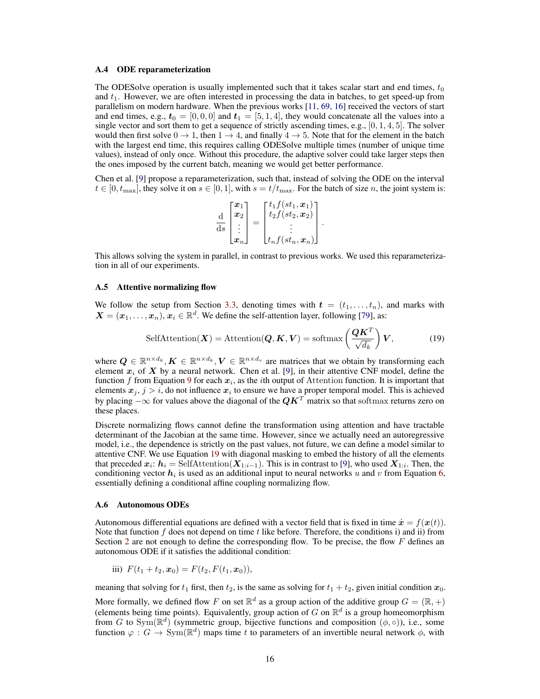#### A.4 ODE reparameterization

The ODESolve operation is usually implemented such that it takes scalar start and end times,  $t_0$ and  $t_1$ . However, we are often interested in processing the data in batches, to get speed-up from parallelism on modern hardware. When the previous works [\[11,](#page-9-0) [69,](#page-12-0) [16\]](#page-9-2) received the vectors of start and end times, e.g.,  $t_0 = [0, 0, 0]$  and  $t_1 = [5, 1, 4]$ , they would concatenate all the values into a single vector and sort them to get a sequence of strictly ascending times, e.g.,  $[0, 1, 4, 5]$ . The solver would then first solve  $0 \to 1$ , then  $1 \to 4$ , and finally  $4 \to 5$ . Note that for the element in the batch with the largest end time, this requires calling ODESolve multiple times (number of unique time values), instead of only once. Without this procedure, the adaptive solver could take larger steps then the ones imposed by the current batch, meaning we would get better performance.

Chen et al. [\[9\]](#page-9-3) propose a reparameterization, such that, instead of solving the ODE on the interval  $t \in [0, t_{\text{max}}]$ , they solve it on  $s \in [0, 1]$ , with  $s = t/t_{\text{max}}$ . For the batch of size n, the joint system is:

<span id="page-15-2"></span>
$$
\frac{\mathrm{d}}{\mathrm{d}s} \begin{bmatrix} x_1 \\ x_2 \\ \vdots \\ x_n \end{bmatrix} = \begin{bmatrix} t_1 f(st_1, x_1) \\ t_2 f(st_2, x_2) \\ \vdots \\ t_n f(st_n, x_n) \end{bmatrix}.
$$

This allows solving the system in parallel, in contrast to previous works. We used this reparameterization in all of our experiments.

#### <span id="page-15-0"></span>A.5 Attentive normalizing flow

We follow the setup from Section [3.3,](#page-4-3) denoting times with  $t = (t_1, \ldots, t_n)$ , and marks with  $X = (x_1, \ldots, x_n), x_i \in \mathbb{R}^d$ . We define the self-attention layer, following [\[79\]](#page-12-10), as:

$$
\text{SelfAttention}(\boldsymbol{X}) = \text{Attention}(\boldsymbol{Q}, \boldsymbol{K}, \boldsymbol{V}) = \text{softmax}\left(\frac{\boldsymbol{Q}\boldsymbol{K}^T}{\sqrt{d_k}}\right)\boldsymbol{V},\tag{19}
$$

where  $Q \in \mathbb{R}^{n \times d_k}, K \in \mathbb{R}^{n \times d_k}, V \in \mathbb{R}^{n \times d_v}$  are matrices that we obtain by transforming each element  $x_i$  of X by a neural network. Chen et al. [\[9\]](#page-9-3), in their attentive CNF model, define the function f from Equation [9](#page-4-1) for each  $x_i$ , as the *i*th output of Attention function. It is important that elements  $x_j, j > i$ , do not influence  $x_i$  to ensure we have a proper temporal model. This is achieved by placing  $-\infty$  for values above the diagonal of the  $QK^{T}$  matrix so that softmax returns zero on these places.

Discrete normalizing flows cannot define the transformation using attention and have tractable determinant of the Jacobian at the same time. However, since we actually need an autoregressive model, i.e., the dependence is strictly on the past values, not future, we can define a model similar to attentive CNF. We use Equation [19](#page-15-2) with diagonal masking to embed the history of all the elements that preceded  $x_i$ :  $h_i = \text{SelfAttention}(X_{1:i-1})$ . This is in contrast to [\[9\]](#page-9-3), who used  $X_{1:i}$ . Then, the conditioning vector  $h_i$  is used as an additional input to neural networks u and v from Equation [6,](#page-2-4) essentially defining a conditional affine coupling normalizing flow.

#### <span id="page-15-1"></span>A.6 Autonomous ODEs

Autonomous differential equations are defined with a vector field that is fixed in time  $\dot{x} = f(x(t))$ . Note that function  $f$  does not depend on time  $t$  like before. Therefore, the conditions i) and ii) from Section [2](#page-1-1) are not enough to define the corresponding flow. To be precise, the flow  $F$  defines an autonomous ODE if it satisfies the additional condition:

iii) 
$$
F(t_1 + t_2, x_0) = F(t_2, F(t_1, x_0)),
$$

meaning that solving for  $t_1$  first, then  $t_2$ , is the same as solving for  $t_1 + t_2$ , given initial condition  $x_0$ .

More formally, we defined flow F on set  $\mathbb{R}^d$  as a group action of the additive group  $G = (\mathbb{R}, +)$ (elements being time points). Equivalently, group action of G on  $\mathbb{R}^d$  is a group homeomorphism from G to Sym( $\mathbb{R}^d$ ) (symmetric group, bijective functions and composition  $(\phi, \circ)$ ), i.e., some function  $\varphi: G \to \text{Sym}(\mathbb{R}^d)$  maps time t to parameters of an invertible neural network  $\phi$ , with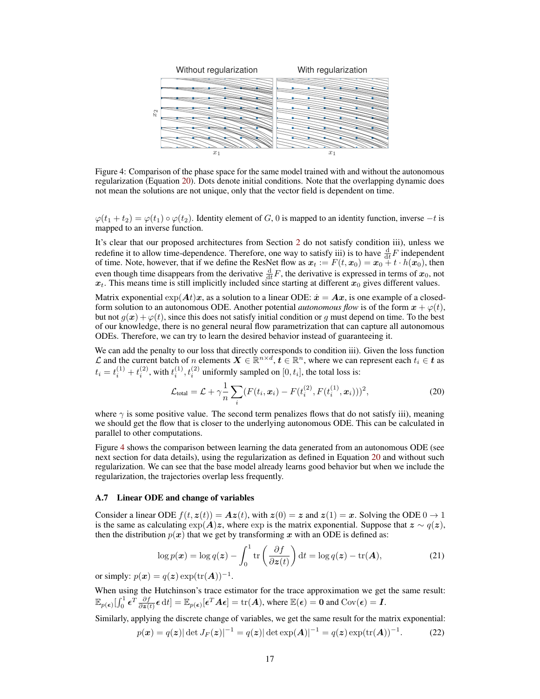<span id="page-16-2"></span>

Figure 4: Comparison of the phase space for the same model trained with and without the autonomous regularization (Equation [20\)](#page-16-1). Dots denote initial conditions. Note that the overlapping dynamic does not mean the solutions are not unique, only that the vector field is dependent on time.

 $\varphi(t_1 + t_2) = \varphi(t_1) \circ \varphi(t_2)$ . Identity element of G, 0 is mapped to an identity function, inverse  $-t$  is mapped to an inverse function.

It's clear that our proposed architectures from Section [2](#page-1-1) do not satisfy condition iii), unless we redefine it to allow time-dependence. Therefore, one way to satisfy iii) is to have  $\frac{d}{dt}F$  independent of time. Note, however, that if we define the ResNet flow as  $x_t := F(t, x_0) = x_0 + t \cdot h(x_0)$ , then even though time disappears from the derivative  $\frac{d}{dt}F$ , the derivative is expressed in terms of  $x_0$ , not  $x_t$ . This means time is still implicitly included since starting at different  $x_0$  gives different values.

Matrix exponential  $exp(\mathbf{A}t)\mathbf{x}$ , as a solution to a linear ODE:  $\dot{\mathbf{x}} = \mathbf{A}\mathbf{x}$ , is one example of a closedform solution to an autonomous ODE. Another potential *autonomous flow* is of the form  $x + \varphi(t)$ , but not  $q(x) + \varphi(t)$ , since this does not satisfy initial condition or q must depend on time. To the best of our knowledge, there is no general neural flow parametrization that can capture all autonomous ODEs. Therefore, we can try to learn the desired behavior instead of guaranteeing it.

We can add the penalty to our loss that directly corresponds to condition iii). Given the loss function  $\mathcal L$  and the current batch of n elements  $\bm X \in \mathbb R^{n \times d}$ ,  $\bm t \in \mathbb R^n$ , where we can represent each  $t_i \in \bm t$  as  $t_i = t_i^{(1)} + t_i^{(2)}$ , with  $t_i^{(1)}, t_i^{(2)}$  uniformly sampled on  $[0, t_i]$ , the total loss is:

<span id="page-16-1"></span>
$$
\mathcal{L}_{\text{total}} = \mathcal{L} + \gamma \frac{1}{n} \sum_{i} (F(t_i, \boldsymbol{x}_i) - F(t_i^{(2)}, F(t_i^{(1)}, \boldsymbol{x}_i)))^2, \tag{20}
$$

where  $\gamma$  is some positive value. The second term penalizes flows that do not satisfy iii), meaning we should get the flow that is closer to the underlying autonomous ODE. This can be calculated in parallel to other computations.

Figure [4](#page-16-2) shows the comparison between learning the data generated from an autonomous ODE (see next section for data details), using the regularization as defined in Equation [20](#page-16-1) and without such regularization. We can see that the base model already learns good behavior but when we include the regularization, the trajectories overlap less frequently.

#### <span id="page-16-0"></span>A.7 Linear ODE and change of variables

Consider a linear ODE  $f(t, z(t)) = Az(t)$ , with  $z(0) = z$  and  $z(1) = x$ . Solving the ODE  $0 \rightarrow 1$ is the same as calculating  $\exp(A)z$ , where  $\exp$  is the matrix exponential. Suppose that  $z \sim q(z)$ , then the distribution  $p(x)$  that we get by transforming x with an ODE is defined as:

$$
\log p(\boldsymbol{x}) = \log q(\boldsymbol{z}) - \int_0^1 \text{tr}\left(\frac{\partial f}{\partial \boldsymbol{z}(t)}\right) \mathrm{d}t = \log q(\boldsymbol{z}) - \text{tr}(\boldsymbol{A}),\tag{21}
$$

or simply:  $p(x) = q(z) \exp(\text{tr}(A))^{-1}$ .

When using the Hutchinson's trace estimator for the trace approximation we get the same result:  $\mathbb{E}_{p(\boldsymbol{\epsilon})}[\int_0^1 \boldsymbol{\epsilon}^T \frac{\partial f}{\partial \boldsymbol{z}(t)} \boldsymbol{\epsilon} dt] = \mathbb{E}_{p(\boldsymbol{\epsilon})}[\boldsymbol{\epsilon}^T \boldsymbol{A} \boldsymbol{\epsilon}] = \text{tr}(\boldsymbol{A}), \text{ where } \mathbb{E}(\boldsymbol{\epsilon}) = \boldsymbol{0} \text{ and } \text{Cov}(\boldsymbol{\epsilon}) = \boldsymbol{I}.$ 

Similarly, applying the discrete change of variables, we get the same result for the matrix exponential:

$$
p(\mathbf{x}) = q(\mathbf{z}) |\det J_F(\mathbf{z})|^{-1} = q(\mathbf{z}) |\det \exp(\mathbf{A})|^{-1} = q(\mathbf{z}) \exp(\text{tr}(\mathbf{A}))^{-1}.
$$
 (22)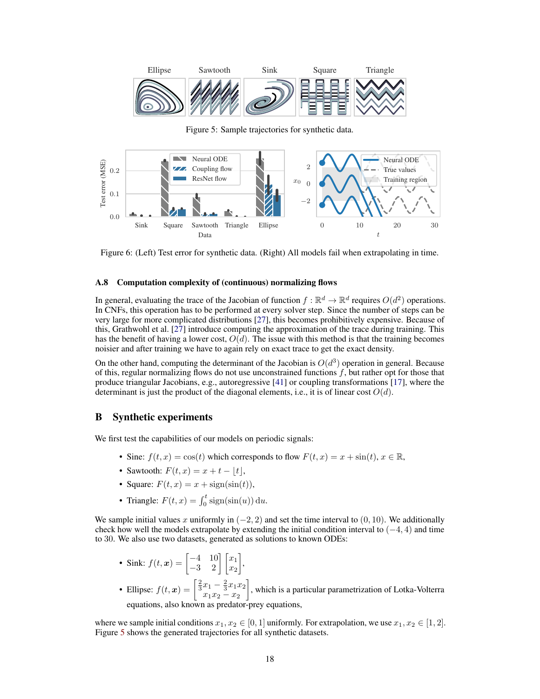<span id="page-17-2"></span>

Figure 5: Sample trajectories for synthetic data.



Figure 6: (Left) Test error for synthetic data. (Right) All models fail when extrapolating in time.

#### <span id="page-17-0"></span>A.8 Computation complexity of (continuous) normalizing flows

In general, evaluating the trace of the Jacobian of function  $f : \mathbb{R}^d \to \mathbb{R}^d$  requires  $O(d^2)$  operations. In CNFs, this operation has to be performed at every solver step. Since the number of steps can be very large for more complicated distributions [\[27\]](#page-10-10), this becomes prohibitively expensive. Because of this, Grathwohl et al. [\[27\]](#page-10-10) introduce computing the approximation of the trace during training. This has the benefit of having a lower cost,  $O(d)$ . The issue with this method is that the training becomes noisier and after training we have to again rely on exact trace to get the exact density.

On the other hand, computing the determinant of the Jacobian is  $O(d^3)$  operation in general. Because of this, regular normalizing flows do not use unconstrained functions  $f$ , but rather opt for those that produce triangular Jacobians, e.g., autoregressive [\[41\]](#page-10-8) or coupling transformations [\[17\]](#page-9-4), where the determinant is just the product of the diagonal elements, i.e., it is of linear cost  $O(d)$ .

# <span id="page-17-1"></span>B Synthetic experiments

We first test the capabilities of our models on periodic signals:

- Sine:  $f(t, x) = \cos(t)$  which corresponds to flow  $F(t, x) = x + \sin(t), x \in \mathbb{R}$ ,
- Sawtooth:  $F(t, x) = x + t |t|$ ,
- Square:  $F(t, x) = x + \text{sign}(\sin(t)),$
- Triangle:  $F(t, x) = \int_0^t \text{sign}(\sin(u)) \, \mathrm{d}u$ .

We sample initial values x uniformly in  $(-2, 2)$  and set the time interval to  $(0, 10)$ . We additionally check how well the models extrapolate by extending the initial condition interval to  $(-4, 4)$  and time to 30. We also use two datasets, generated as solutions to known ODEs:

- Sink:  $f(t, x) = \begin{bmatrix} -4 & 10 \\ -3 & 2 \end{bmatrix} \begin{bmatrix} x_1 \\ x_2 \end{bmatrix}$ ,
- Ellipse:  $f(t, x) = \left[\frac{2}{3}x_1 \frac{2}{3}x_1x_2\right]$  $x_1x_2 - x_2$  , which is a particular parametrization of Lotka-Volterra equations, also known as predator-prey equations,

where we sample initial conditions  $x_1, x_2 \in [0, 1]$  uniformly. For extrapolation, we use  $x_1, x_2 \in [1, 2]$ . Figure [5](#page-17-2) shows the generated trajectories for all synthetic datasets.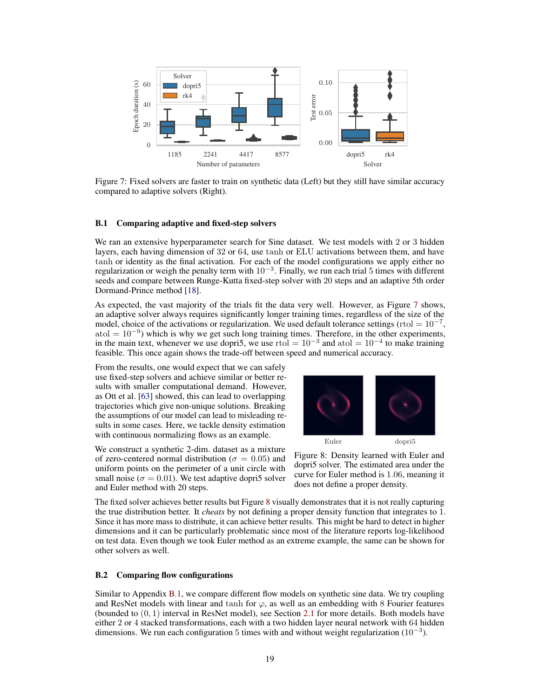<span id="page-18-0"></span>

Figure 7: Fixed solvers are faster to train on synthetic data (Left) but they still have similar accuracy compared to adaptive solvers (Right).

### <span id="page-18-2"></span>B.1 Comparing adaptive and fixed-step solvers

We ran an extensive hyperparameter search for Sine dataset. We test models with 2 or 3 hidden layers, each having dimension of 32 or 64, use tanh or ELU activations between them, and have tanh or identity as the final activation. For each of the model configurations we apply either no regularization or weigh the penalty term with  $10^{-3}$ . Finally, we run each trial 5 times with different seeds and compare between Runge-Kutta fixed-step solver with 20 steps and an adaptive 5th order Dormand-Prince method [\[18\]](#page-9-15).

As expected, the vast majority of the trials fit the data very well. However, as Figure [7](#page-18-0) shows, an adaptive solver always requires significantly longer training times, regardless of the size of the model, choice of the activations or regularization. We used default tolerance settings (rtol =  $10^{-7}$ ,  $\text{atol} = 10^{-9}$ ) which is why we get such long training times. Therefore, in the other experiments, in the main text, whenever we use dopri5, we use rtol =  $10^{-3}$  and atol =  $10^{-4}$  to make training feasible. This once again shows the trade-off between speed and numerical accuracy.

From the results, one would expect that we can safely use fixed-step solvers and achieve similar or better results with smaller computational demand. However, as Ott et al. [\[63\]](#page-12-11) showed, this can lead to overlapping trajectories which give non-unique solutions. Breaking the assumptions of our model can lead to misleading results in some cases. Here, we tackle density estimation with continuous normalizing flows as an example.

<span id="page-18-1"></span>Euler dopri5

We construct a synthetic 2-dim. dataset as a mixture of zero-centered normal distribution ( $\sigma = 0.05$ ) and uniform points on the perimeter of a unit circle with small noise ( $\sigma = 0.01$ ). We test adaptive dopri5 solver and Euler method with 20 steps.

Figure 8: Density learned with Euler and dopri5 solver. The estimated area under the curve for Euler method is 1.06, meaning it does not define a proper density.

The fixed solver achieves better results but Figure [8](#page-18-1) visually demonstrates that it is not really capturing the true distribution better. It *cheats* by not defining a proper density function that integrates to 1. Since it has more mass to distribute, it can achieve better results. This might be hard to detect in higher dimensions and it can be particularly problematic since most of the literature reports log-likelihood on test data. Even though we took Euler method as an extreme example, the same can be shown for other solvers as well.

#### B.2 Comparing flow configurations

Similar to Appendix [B.1,](#page-18-2) we compare different flow models on synthetic sine data. We try coupling and ResNet models with linear and tanh for  $\varphi$ , as well as an embedding with 8 Fourier features (bounded to  $(0, 1)$  interval in ResNet model), see Section [2.1](#page-1-2) for more details. Both models have either 2 or 4 stacked transformations, each with a two hidden layer neural network with 64 hidden dimensions. We run each configuration 5 times with and without weight regularization  $(10^{-3})$ .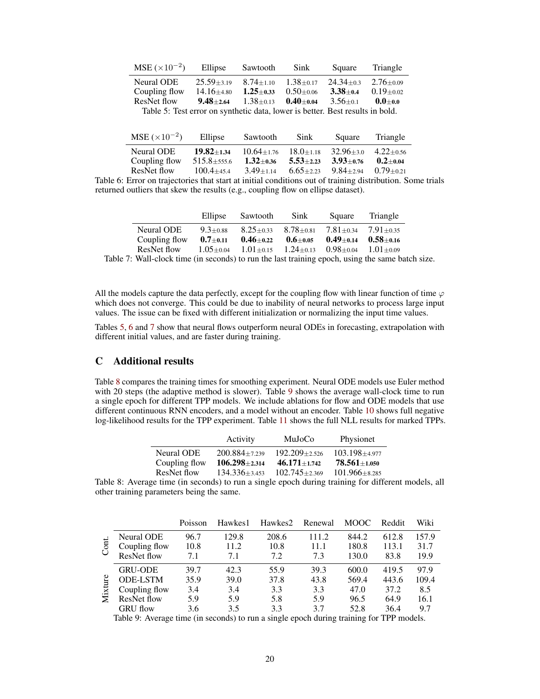<span id="page-19-2"></span>

| $MSE (\times 10^{-2})$                                                        | Ellipse                       | Sawtooth        | <b>Sink</b>   | Square        | Triangle        |  |  |
|-------------------------------------------------------------------------------|-------------------------------|-----------------|---------------|---------------|-----------------|--|--|
| Neural ODE                                                                    | $25.59 + 3.19$                | $8.74 + 1.10$   | $1.38 + 0.17$ | $24.34 + 0.3$ | $2.76 + 0.09$   |  |  |
| Coupling flow                                                                 | $14.16{\scriptstyle \pm4.80}$ | $1.25 \pm 0.33$ | $0.50 + 0.06$ | $3.38 + 0.4$  | $0.19 \pm 0.02$ |  |  |
| ResNet flow                                                                   | $9.48 + 2.64$                 | $1.38 \pm 0.13$ | $0.40 + 0.04$ | $3.56 + 0.1$  | $0.0 + 0.0$     |  |  |
| Table 5: Test error on synthetic data, lower is better. Best results in bold. |                               |                 |               |               |                 |  |  |

<span id="page-19-3"></span>

| $MSE (\times 10^{-2})$ | Ellipse           | Sawtooth        | <b>Sink</b>     | Square          | Triangle      |
|------------------------|-------------------|-----------------|-----------------|-----------------|---------------|
| Neural ODE             | $19.82 + 1.34$    | $10.64 + 1.76$  | $18.0 + 1.18$   | $32.96 \pm 3.0$ | $4.22 + 0.56$ |
| Coupling flow          | $515.8 \pm 555.6$ | $1.32 \pm 0.36$ | $5.53 \pm 2.23$ | $3.93 + 0.76$   | $0.2 + 0.04$  |
| ResNet flow            | $100.4 + 45.4$    | $3.49 + 1.14$   | $6.65 + 2.23$   | $9.84 + 2.94$   | $0.79 + 0.21$ |

Table 6: Error on trajectories that start at initial conditions out of training distribution. Some trials returned outliers that skew the results (e.g., coupling flow on ellipse dataset).

<span id="page-19-4"></span>

|               | Ellipse        | Sawtooth        | Sink            | Square                      | Triangle      |
|---------------|----------------|-----------------|-----------------|-----------------------------|---------------|
| Neural ODE    | $9.3 + 0.88$   | $8.25 \pm 0.33$ | $8.78 + 0.81$   | $7.81 + 0.34$ $7.91 + 0.35$ |               |
| Coupling flow | $0.7 \pm 0.11$ | $0.46 \pm 0.22$ | $0.6 \pm 0.05$  | $0.49 + 0.14$               | $0.58 + 0.16$ |
| ResNet flow   | $1.05 + 0.04$  | $1.01 + 0.15$   | $1.24 \pm 0.13$ | $0.98 \pm 0.04$             | $1.01 + 0.09$ |
|               |                |                 |                 |                             |               |

Table 7: Wall-clock time (in seconds) to run the last training epoch, using the same batch size.

All the models capture the data perfectly, except for the coupling flow with linear function of time  $\varphi$ which does not converge. This could be due to inability of neural networks to process large input values. The issue can be fixed with different initialization or normalizing the input time values.

Tables [5,](#page-19-2) [6](#page-19-3) and [7](#page-19-4) show that neural flows outperform neural ODEs in forecasting, extrapolation with different initial values, and are faster during training.

# <span id="page-19-0"></span>C Additional results

Table [8](#page-19-1) compares the training times for smoothing experiment. Neural ODE models use Euler method with 20 steps (the adaptive method is slower). Table [9](#page-19-5) shows the average wall-clock time to run a single epoch for different TPP models. We include ablations for flow and ODE models that use different continuous RNN encoders, and a model without an encoder. Table [10](#page-20-0) shows full negative log-likelihood results for the TPP experiment. Table [11](#page-20-1) shows the full NLL results for marked TPPs.

| Activity            | MuJoCo            | Physionet           |
|---------------------|-------------------|---------------------|
| $200.884 \pm 7.239$ | $192.209 + 2.526$ | $103.198 + 4.977$   |
| $106.298 \pm 2.314$ | $46.171 + 1.742$  | $78.561 + 1.050$    |
| $134.336 + 3.453$   | $102.745 + 2.369$ | $101.966 \pm 8.285$ |
|                     |                   |                     |

<span id="page-19-1"></span>Table 8: Average time (in seconds) to run a single epoch during training for different models, all other training parameters being the same.

<span id="page-19-5"></span>

|  |                    | Poisson | Hawkes1 | Hawkes2 | Renewal | <b>MOOC</b> | Reddit | Wiki  |
|--|--------------------|---------|---------|---------|---------|-------------|--------|-------|
|  | <b>Neural ODE</b>  | 96.7    | 129.8   | 208.6   | 111.2   | 844.2       | 612.8  | 157.9 |
|  | Coupling flow      | 10.8    | 11.2    | 10.8    | 11.1    | 180.8       | 113.1  | 31.7  |
|  | ResNet flow        | 7.1     | 7.1     | 7.2     | 7.3     | 130.0       | 83.8   | 19.9  |
|  | <b>GRU-ODE</b>     | 39.7    | 42.3    | 55.9    | 39.3    | 600.0       | 419.5  | 97.9  |
|  | <b>ODE-LSTM</b>    | 35.9    | 39.0    | 37.8    | 43.8    | 569.4       | 443.6  | 109.4 |
|  | Coupling flow      | 3.4     | 3.4     | 3.3     | 3.3     | 47.0        | 37.2   | 8.5   |
|  | <b>ResNet flow</b> | 5.9     | 5.9     | 5.8     | 5.9     | 96.5        | 64.9   | 16.1  |
|  | GRU flow           | 3.6     | 3.5     | 3.3     | 37      | 52.8        | 36.4   | 9.7   |

Table 9: Average time (in seconds) to run a single epoch during training for TPP models.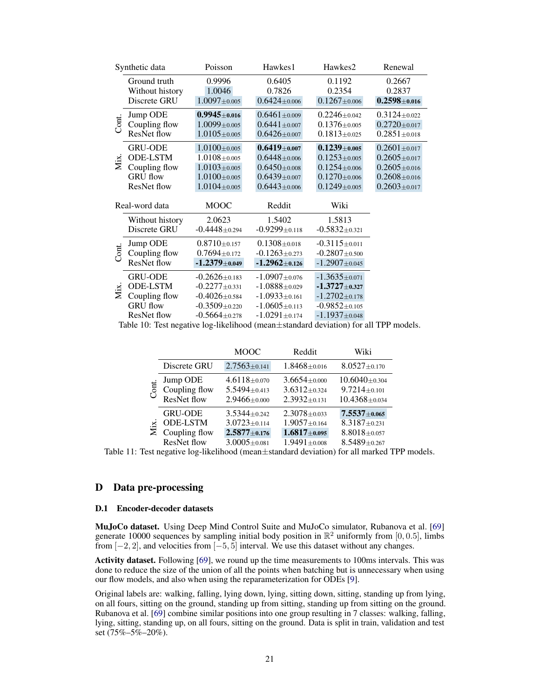<span id="page-20-0"></span>

|       | Synthetic data                  | Poisson             | Hawkes1              | Hawkes2               | Renewal            |
|-------|---------------------------------|---------------------|----------------------|-----------------------|--------------------|
|       | Ground truth<br>Without history | 0.9996<br>1.0046    | 0.6405<br>0.7826     | 0.1192<br>0.2354      | 0.2667<br>0.2837   |
|       | Discrete GRU                    | $1.0097 + 0.005$    | $0.6424 \pm 0.006$   | $0.1267 \pm 0.006$    | $0.2598 + 0.016$   |
|       | Jump ODE                        | $0.9945 \pm 0.016$  | $0.6461 \pm 0.009$   | $0.2246 \pm 0.042$    | $0.3124 \pm 0.022$ |
| Cont. | Coupling flow                   | $1.0099 + 0.005$    | $0.6441 \pm 0.007$   | $0.1376 \pm 0.005$    | $0.2720 \pm 0.017$ |
|       | <b>ResNet flow</b>              | $1.0105 \pm 0.005$  | $0.6426 \pm 0.007$   | $0.1813 \pm 0.025$    | $0.2851 \pm 0.018$ |
|       | <b>GRU-ODE</b>                  | $1.0100 \pm 0.005$  | $0.6419_{\pm 0.007}$ | $0.1239_{\pm 0.005}$  | $0.2601 \pm 0.017$ |
| Mix.  | <b>ODE-LSTM</b>                 | $1.0108 + 0.005$    | $0.6448 + 0.006$     | $0.1253 \pm 0.005$    | $0.2605 \pm 0.017$ |
|       | Coupling flow                   | $1.0103 \pm 0.005$  | $0.6450\pm0.008$     | $0.1254 \pm 0.006$    | $0.2605 \pm 0.016$ |
|       | <b>GRU</b> flow                 | $1.0100 \pm 0.005$  | $0.6439 \pm 0.007$   | $0.1270 \pm 0.006$    | $0.2608 \pm 0.016$ |
|       | <b>ResNet flow</b>              | $1.0104 \pm 0.005$  | $0.6443 \pm 0.006$   | $0.1249 \pm 0.005$    | $0.2603 \pm 0.017$ |
|       | Real-word data                  | <b>MOOC</b>         | Reddit               | Wiki                  |                    |
|       | Without history                 | 2.0623              | 1.5402               | 1.5813                |                    |
|       | Discrete GRU                    | $-0.4448 + 0.294$   | $-0.9299\pm0.118$    | $-0.5832 + 0.321$     |                    |
|       | Jump ODE                        | $0.8710 \pm 0.157$  | $0.1308 \pm 0.018$   | $-0.3115 \pm 0.011$   |                    |
| Cont. | Coupling flow                   | $0.7694 \pm 0.172$  | $-0.1263 \pm 0.273$  | $-0.2807 + 0.500$     |                    |
|       | <b>ResNet flow</b>              | $-1.2379\pm 0.049$  | $-1.2962\pm0.126$    | $-1.2907 + 0.045$     |                    |
|       | <b>GRU-ODE</b>                  | $-0.2626 \pm 0.183$ | $-1.0907 + 0.076$    | $-1.3635 \pm 0.071$   |                    |
|       | <b>ODE-LSTM</b>                 | $-0.2277 + 0.331$   | $-1.0888 + 0.029$    | $-1.3727_{\pm 0.327}$ |                    |
| Mix.  | Coupling flow                   | $-0.4026 \pm 0.584$ | $-1.0933\pm0.161$    | $-1.2702 \pm 0.178$   |                    |
|       | <b>GRU</b> flow                 | $-0.3509 + 0.220$   | $-1.0605\pm0.113$    | $-0.9852\pm0.105$     |                    |
|       | ResNet flow                     | $-0.5664 \pm 0.278$ | $-1.0291\pm0.174$    | $-1.1937 + 0.048$     |                    |

<span id="page-20-1"></span>Table 10: Test negative log-likelihood (mean±standard deviation) for all TPP models.

|      |                    | <b>MOOC</b>        | Reddit             | Wiki                |
|------|--------------------|--------------------|--------------------|---------------------|
|      | Discrete GRU       | $2.7563 \pm 0.141$ | $1.8468 \pm 0.016$ | $8.0527 \pm 0.170$  |
| 5    | Jump ODE           | $4.6118 \pm 0.070$ | $3.6654 \pm 0.000$ | $10.6040 \pm 0.304$ |
|      | Coupling flow      | $5.5494 \pm 0.413$ | $3.6312 \pm 0.324$ | $9.7214 \pm 0.101$  |
|      | ResNet flow        | $2.9466 \pm 0.000$ | $2.3932 + 0.131$   | $10.4368 + 0.034$   |
|      | <b>GRU-ODE</b>     | $3.5344 + 0.242$   | $2.3078 \pm 0.033$ | $7.5537 + 0.065$    |
| Mix. | <b>ODE-LSTM</b>    | $3.0723 \pm 0.114$ | $1.9057 \pm 0.164$ | $8.3187 \pm 0.231$  |
|      | Coupling flow      | $2.5877 + 0.176$   | $1.6817\pm0.095$   | $8.8018 \pm 0.057$  |
|      | <b>ResNet flow</b> | $3.0005 \pm 0.081$ | $1.9491 \pm 0.008$ | $8.5489 + 0.267$    |

Table 11: Test negative log-likelihood (mean±standard deviation) for all marked TPP models.

# D Data pre-processing

### D.1 Encoder-decoder datasets

MuJoCo dataset. Using Deep Mind Control Suite and MuJoCo simulator, Rubanova et al. [\[69\]](#page-12-0) generate 10000 sequences by sampling initial body position in  $\mathbb{R}^2$  uniformly from [0,0.5], limbs from [−2, 2], and velocities from [−5, 5] interval. We use this dataset without any changes.

Activity dataset. Following [\[69\]](#page-12-0), we round up the time measurements to 100ms intervals. This was done to reduce the size of the union of all the points when batching but is unnecessary when using our flow models, and also when using the reparameterization for ODEs [\[9\]](#page-9-3).

Original labels are: walking, falling, lying down, lying, sitting down, sitting, standing up from lying, on all fours, sitting on the ground, standing up from sitting, standing up from sitting on the ground. Rubanova et al. [\[69\]](#page-12-0) combine similar positions into one group resulting in 7 classes: walking, falling, lying, sitting, standing up, on all fours, sitting on the ground. Data is split in train, validation and test set (75%–5%–20%).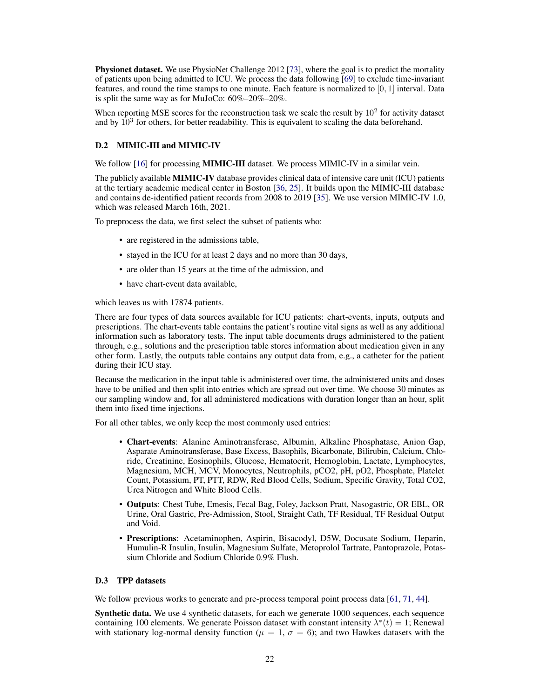**Physionet dataset.** We use PhysioNet Challenge 2012 [\[73\]](#page-12-12), where the goal is to predict the mortality of patients upon being admitted to ICU. We process the data following [\[69\]](#page-12-0) to exclude time-invariant features, and round the time stamps to one minute. Each feature is normalized to [0, 1] interval. Data is split the same way as for MuJoCo: 60%–20%–20%.

When reporting MSE scores for the reconstruction task we scale the result by  $10<sup>2</sup>$  for activity dataset and by  $10^3$  for others, for better readability. This is equivalent to scaling the data beforehand.

## <span id="page-21-0"></span>D.2 MIMIC-III and MIMIC-IV

We follow [\[16\]](#page-9-2) for processing **MIMIC-III** dataset. We process MIMIC-IV in a similar vein.

The publicly available MIMIC-IV database provides clinical data of intensive care unit (ICU) patients at the tertiary academic medical center in Boston [\[36,](#page-10-16) [25\]](#page-10-15). It builds upon the MIMIC-III database and contains de-identified patient records from 2008 to 2019 [\[35\]](#page-10-14). We use version MIMIC-IV 1.0, which was released March 16th, 2021.

To preprocess the data, we first select the subset of patients who:

- are registered in the admissions table,
- stayed in the ICU for at least 2 days and no more than 30 days,
- are older than 15 years at the time of the admission, and
- have chart-event data available.

which leaves us with 17874 patients.

There are four types of data sources available for ICU patients: chart-events, inputs, outputs and prescriptions. The chart-events table contains the patient's routine vital signs as well as any additional information such as laboratory tests. The input table documents drugs administered to the patient through, e.g., solutions and the prescription table stores information about medication given in any other form. Lastly, the outputs table contains any output data from, e.g., a catheter for the patient during their ICU stay.

Because the medication in the input table is administered over time, the administered units and doses have to be unified and then split into entries which are spread out over time. We choose 30 minutes as our sampling window and, for all administered medications with duration longer than an hour, split them into fixed time injections.

For all other tables, we only keep the most commonly used entries:

- Chart-events: Alanine Aminotransferase, Albumin, Alkaline Phosphatase, Anion Gap, Asparate Aminotransferase, Base Excess, Basophils, Bicarbonate, Bilirubin, Calcium, Chloride, Creatinine, Eosinophils, Glucose, Hematocrit, Hemoglobin, Lactate, Lymphocytes, Magnesium, MCH, MCV, Monocytes, Neutrophils, pCO2, pH, pO2, Phosphate, Platelet Count, Potassium, PT, PTT, RDW, Red Blood Cells, Sodium, Specific Gravity, Total CO2, Urea Nitrogen and White Blood Cells.
- Outputs: Chest Tube, Emesis, Fecal Bag, Foley, Jackson Pratt, Nasogastric, OR EBL, OR Urine, Oral Gastric, Pre-Admission, Stool, Straight Cath, TF Residual, TF Residual Output and Void.
- Prescriptions: Acetaminophen, Aspirin, Bisacodyl, D5W, Docusate Sodium, Heparin, Humulin-R Insulin, Insulin, Magnesium Sulfate, Metoprolol Tartrate, Pantoprazole, Potassium Chloride and Sodium Chloride 0.9% Flush.

### <span id="page-21-1"></span>D.3 TPP datasets

We follow previous works to generate and pre-process temporal point process data [\[61,](#page-11-13) [71,](#page-12-7) [44\]](#page-11-14).

Synthetic data. We use 4 synthetic datasets, for each we generate 1000 sequences, each sequence containing 100 elements. We generate Poisson dataset with constant intensity  $\lambda^*(t) = 1$ ; Renewal with stationary log-normal density function ( $\mu = 1, \sigma = 6$ ); and two Hawkes datasets with the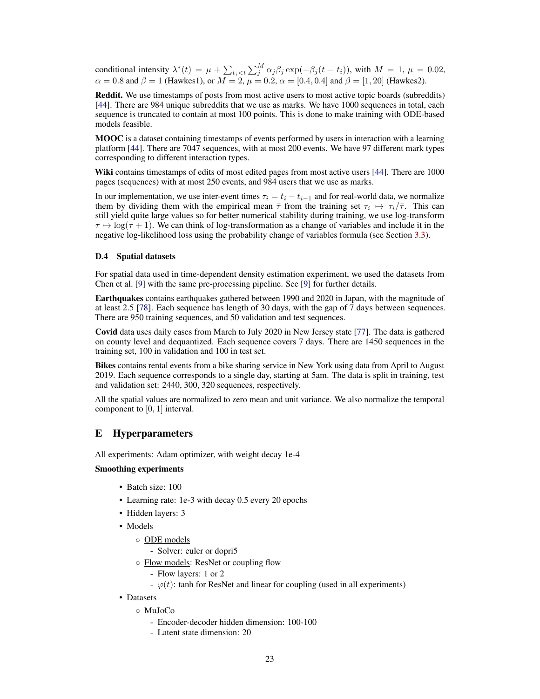conditional intensity  $\lambda^*(t) = \mu + \sum_{t_i < t} \sum_j^M \alpha_j \beta_j \exp(-\beta_j(t - t_i))$ , with  $M = 1$ ,  $\mu = 0.02$ ,  $\alpha = 0.8$  and  $\beta = 1$  (Hawkes1), or  $M = 2$ ,  $\mu = 0.2$ ,  $\alpha = [0.4, 0.4]$  and  $\beta = [1, 20]$  (Hawkes2).

Reddit. We use timestamps of posts from most active users to most active topic boards (subreddits) [\[44\]](#page-11-14). There are 984 unique subreddits that we use as marks. We have 1000 sequences in total, each sequence is truncated to contain at most 100 points. This is done to make training with ODE-based models feasible.

MOOC is a dataset containing timestamps of events performed by users in interaction with a learning platform [\[44\]](#page-11-14). There are 7047 sequences, with at most 200 events. We have 97 different mark types corresponding to different interaction types.

Wiki contains timestamps of edits of most edited pages from most active users [\[44\]](#page-11-14). There are 1000 pages (sequences) with at most 250 events, and 984 users that we use as marks.

In our implementation, we use inter-event times  $\tau_i = t_i - t_{i-1}$  and for real-world data, we normalize them by dividing them with the empirical mean  $\bar{\tau}$  from the training set  $\tau_i \mapsto \tau_i/\bar{\tau}$ . This can still yield quite large values so for better numerical stability during training, we use log-transform  $\tau \mapsto \log(\tau + 1)$ . We can think of log-transformation as a change of variables and include it in the negative log-likelihood loss using the probability change of variables formula (see Section [3.3\)](#page-4-3).

## D.4 Spatial datasets

For spatial data used in time-dependent density estimation experiment, we used the datasets from Chen et al. [\[9\]](#page-9-3) with the same pre-processing pipeline. See [\[9\]](#page-9-3) for further details.

Earthquakes contains earthquakes gathered between 1990 and 2020 in Japan, with the magnitude of at least 2.5 [\[78\]](#page-12-15). Each sequence has length of 30 days, with the gap of 7 days between sequences. There are 950 training sequences, and 50 validation and test sequences.

Covid data uses daily cases from March to July 2020 in New Jersey state [\[77\]](#page-12-14). The data is gathered on county level and dequantized. Each sequence covers 7 days. There are 1450 sequences in the training set, 100 in validation and 100 in test set.

Bikes contains rental events from a bike sharing service in New York using data from April to August 2019. Each sequence corresponds to a single day, starting at 5am. The data is split in training, test and validation set: 2440, 300, 320 sequences, respectively.

All the spatial values are normalized to zero mean and unit variance. We also normalize the temporal component to [0, 1] interval.

### E Hyperparameters

All experiments: Adam optimizer, with weight decay 1e-4

### Smoothing experiments

- Batch size: 100
- Learning rate: 1e-3 with decay 0.5 every 20 epochs
- Hidden layers: 3
- Models
	- ODE models
		- Solver: euler or dopri5
	- Flow models: ResNet or coupling flow
		- Flow layers: 1 or 2
		- $\varphi(t)$ : tanh for ResNet and linear for coupling (used in all experiments)
- Datasets
	- MuJoCo
		- Encoder-decoder hidden dimension: 100-100
		- Latent state dimension: 20